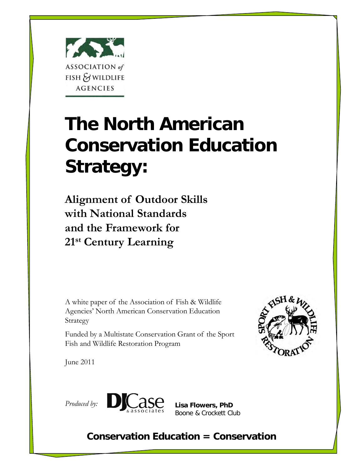

# **The North American Conservation Education Strategy:**

**Alignment of Outdoor Skills with National Standards and the Framework for 21st Century Learning**

A white paper of the Association of Fish & Wildlife Agencies' North American Conservation Education Strategy

Funded by a Multistate Conservation Grant of the Sport Fish and Wildlife Restoration Program



June 2011



Boone & Crockett Club

### **Conservation Education = Conservation**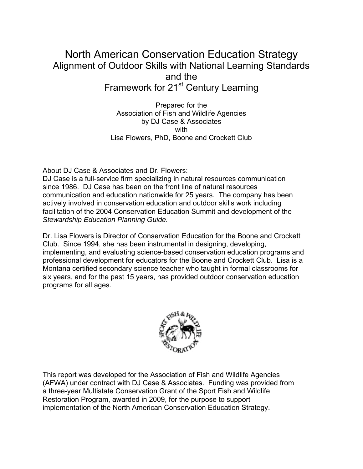### North American Conservation Education Strategy Alignment of Outdoor Skills with National Learning Standards and the Framework for 21<sup>st</sup> Century Learning

Prepared for the Association of Fish and Wildlife Agencies by DJ Case & Associates with Lisa Flowers, PhD, Boone and Crockett Club

#### About DJ Case & Associates and Dr. Flowers:

DJ Case is a full-service firm specializing in natural resources communication since 1986. DJ Case has been on the front line of natural resources communication and education nationwide for 25 years. The company has been actively involved in conservation education and outdoor skills work including facilitation of the 2004 Conservation Education Summit and development of the *Stewardship Education Planning Guide.* 

Dr. Lisa Flowers is Director of Conservation Education for the Boone and Crockett Club. Since 1994, she has been instrumental in designing, developing, implementing, and evaluating science-based conservation education programs and professional development for educators for the Boone and Crockett Club. Lisa is a Montana certified secondary science teacher who taught in formal classrooms for six years, and for the past 15 years, has provided outdoor conservation education programs for all ages.



This report was developed for the Association of Fish and Wildlife Agencies (AFWA) under contract with DJ Case & Associates. Funding was provided from a three-year Multistate Conservation Grant of the Sport Fish and Wildlife Restoration Program, awarded in 2009, for the purpose to support implementation of the North American Conservation Education Strategy.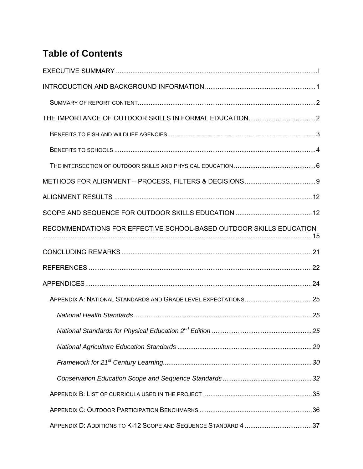### **Table of Contents**

| RECOMMENDATIONS FOR EFFECTIVE SCHOOL-BASED OUTDOOR SKILLS EDUCATION |  |
|---------------------------------------------------------------------|--|
|                                                                     |  |
|                                                                     |  |
|                                                                     |  |
|                                                                     |  |
|                                                                     |  |
|                                                                     |  |
|                                                                     |  |
|                                                                     |  |
|                                                                     |  |
|                                                                     |  |
|                                                                     |  |
|                                                                     |  |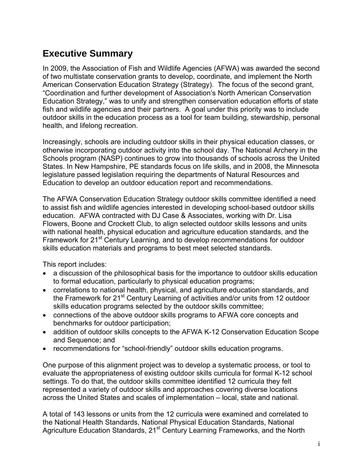### **Executive Summary**

In 2009, the Association of Fish and Wildlife Agencies (AFWA) was awarded the second of two multistate conservation grants to develop, coordinate, and implement the North American Conservation Education Strategy (Strategy). The focus of the second grant, "Coordination and further development of Association's North American Conservation Education Strategy," was to unify and strengthen conservation education efforts of state fish and wildlife agencies and their partners. A goal under this priority was to include outdoor skills in the education process as a tool for team building, stewardship, personal health, and lifelong recreation.

Increasingly, schools are including outdoor skills in their physical education classes, or otherwise incorporating outdoor activity into the school day. The National Archery in the Schools program (NASP) continues to grow into thousands of schools across the United States. In New Hampshire, PE standards focus on life skills, and in 2008, the Minnesota legislature passed legislation requiring the departments of Natural Resources and Education to develop an outdoor education report and recommendations.

The AFWA Conservation Education Strategy outdoor skills committee identified a need to assist fish and wildlife agencies interested in developing school-based outdoor skills education. AFWA contracted with DJ Case & Associates, working with Dr. Lisa Flowers, Boone and Crockett Club, to align selected outdoor skills lessons and units with national health, physical education and agriculture education standards, and the Framework for 21<sup>st</sup> Century Learning, and to develop recommendations for outdoor skills education materials and programs to best meet selected standards.

This report includes:

- a discussion of the philosophical basis for the importance to outdoor skills education to formal education, particularly to physical education programs;
- correlations to national health, physical, and agriculture education standards, and the Framework for 21<sup>st</sup> Century Learning of activities and/or units from 12 outdoor skills education programs selected by the outdoor skills committee;
- connections of the above outdoor skills programs to AFWA core concepts and benchmarks for outdoor participation;
- addition of outdoor skills concepts to the AFWA K-12 Conservation Education Scope and Sequence; and
- recommendations for "school-friendly" outdoor skills education programs.

One purpose of this alignment project was to develop a systematic process, or tool to evaluate the appropriateness of existing outdoor skills curricula for formal K-12 school settings. To do that, the outdoor skills committee identified 12 curricula they felt represented a variety of outdoor skills and approaches covering diverse locations across the United States and scales of implementation – local, state and national.

A total of 143 lessons or units from the 12 curricula were examined and correlated to the National Health Standards, National Physical Education Standards, National Agriculture Education Standards, 21<sup>st</sup> Century Learning Frameworks, and the North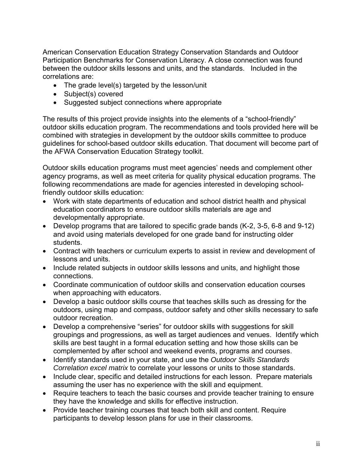American Conservation Education Strategy Conservation Standards and Outdoor Participation Benchmarks for Conservation Literacy. A close connection was found between the outdoor skills lessons and units, and the standards. Included in the correlations are:

- The grade level(s) targeted by the lesson/unit
- Subject(s) covered
- Suggested subject connections where appropriate

The results of this project provide insights into the elements of a "school-friendly" outdoor skills education program. The recommendations and tools provided here will be combined with strategies in development by the outdoor skills committee to produce guidelines for school-based outdoor skills education. That document will become part of the AFWA Conservation Education Strategy toolkit.

Outdoor skills education programs must meet agencies' needs and complement other agency programs, as well as meet criteria for quality physical education programs. The following recommendations are made for agencies interested in developing schoolfriendly outdoor skills education:

- Work with state departments of education and school district health and physical education coordinators to ensure outdoor skills materials are age and developmentally appropriate.
- Develop programs that are tailored to specific grade bands (K-2, 3-5, 6-8 and 9-12) and avoid using materials developed for one grade band for instructing older students.
- Contract with teachers or curriculum experts to assist in review and development of lessons and units.
- Include related subjects in outdoor skills lessons and units, and highlight those connections.
- Coordinate communication of outdoor skills and conservation education courses when approaching with educators.
- Develop a basic outdoor skills course that teaches skills such as dressing for the outdoors, using map and compass, outdoor safety and other skills necessary to safe outdoor recreation.
- Develop a comprehensive "series" for outdoor skills with suggestions for skill groupings and progressions, as well as target audiences and venues. Identify which skills are best taught in a formal education setting and how those skills can be complemented by after school and weekend events, programs and courses.
- Identify standards used in your state, and use the *Outdoor Skills Standards Correlation excel matrix* to correlate your lessons or units to those standards.
- Include clear, specific and detailed instructions for each lesson. Prepare materials assuming the user has no experience with the skill and equipment.
- Require teachers to teach the basic courses and provide teacher training to ensure they have the knowledge and skills for effective instruction.
- Provide teacher training courses that teach both skill and content. Require participants to develop lesson plans for use in their classrooms.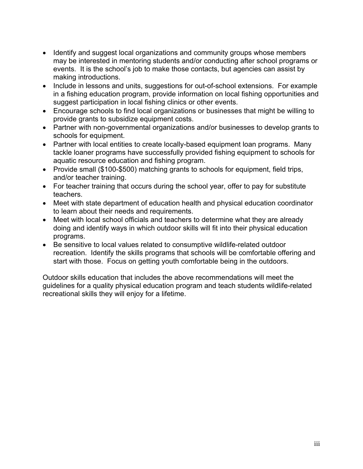- Identify and suggest local organizations and community groups whose members may be interested in mentoring students and/or conducting after school programs or events. It is the school's job to make those contacts, but agencies can assist by making introductions.
- Include in lessons and units, suggestions for out-of-school extensions. For example in a fishing education program, provide information on local fishing opportunities and suggest participation in local fishing clinics or other events.
- Encourage schools to find local organizations or businesses that might be willing to provide grants to subsidize equipment costs.
- Partner with non-governmental organizations and/or businesses to develop grants to schools for equipment.
- Partner with local entities to create locally-based equipment loan programs. Many tackle loaner programs have successfully provided fishing equipment to schools for aquatic resource education and fishing program.
- Provide small (\$100-\$500) matching grants to schools for equipment, field trips, and/or teacher training.
- For teacher training that occurs during the school year, offer to pay for substitute teachers.
- Meet with state department of education health and physical education coordinator to learn about their needs and requirements.
- Meet with local school officials and teachers to determine what they are already doing and identify ways in which outdoor skills will fit into their physical education programs.
- Be sensitive to local values related to consumptive wildlife-related outdoor recreation. Identify the skills programs that schools will be comfortable offering and start with those. Focus on getting youth comfortable being in the outdoors.

Outdoor skills education that includes the above recommendations will meet the guidelines for a quality physical education program and teach students wildlife-related recreational skills they will enjoy for a lifetime.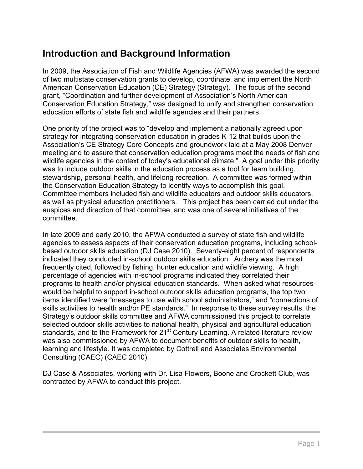### **Introduction and Background Information**

In 2009, the Association of Fish and Wildlife Agencies (AFWA) was awarded the second of two multistate conservation grants to develop, coordinate, and implement the North American Conservation Education (CE) Strategy (Strategy). The focus of the second grant, "Coordination and further development of Association's North American Conservation Education Strategy," was designed to unify and strengthen conservation education efforts of state fish and wildlife agencies and their partners.

One priority of the project was to "develop and implement a nationally agreed upon strategy for integrating conservation education in grades K-12 that builds upon the Association's CE Strategy Core Concepts and groundwork laid at a May 2008 Denver meeting and to assure that conservation education programs meet the needs of fish and wildlife agencies in the context of today's educational climate." A goal under this priority was to include outdoor skills in the education process as a tool for team building, stewardship, personal health, and lifelong recreation. A committee was formed within the Conservation Education Strategy to identify ways to accomplish this goal. Committee members included fish and wildlife educators and outdoor skills educators, as well as physical education practitioners. This project has been carried out under the auspices and direction of that committee, and was one of several initiatives of the committee.

In late 2009 and early 2010, the AFWA conducted a survey of state fish and wildlife agencies to assess aspects of their conservation education programs, including schoolbased outdoor skills education (DJ Case 2010). Seventy-eight percent of respondents indicated they conducted in-school outdoor skills education. Archery was the most frequently cited, followed by fishing, hunter education and wildlife viewing. A high percentage of agencies with in-school programs indicated they correlated their programs to health and/or physical education standards. When asked what resources would be helpful to support in-school outdoor skills education programs, the top two items identified were "messages to use with school administrators," and "connections of skills activities to health and/or PE standards." In response to these survey results, the Strategy's outdoor skills committee and AFWA commissioned this project to correlate selected outdoor skills activities to national health, physical and agricultural education standards, and to the Framework for 21<sup>st</sup> Century Learning. A related literature review was also commissioned by AFWA to document benefits of outdoor skills to health, learning and lifestyle. It was completed by Cottrell and Associates Environmental Consulting (CAEC) (CAEC 2010).

DJ Case & Associates, working with Dr. Lisa Flowers, Boone and Crockett Club, was contracted by AFWA to conduct this project.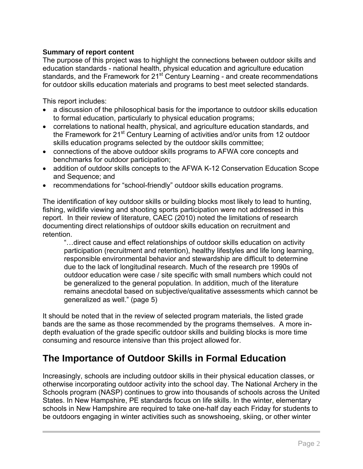#### **Summary of report content**

The purpose of this project was to highlight the connections between outdoor skills and education standards - national health, physical education and agriculture education standards, and the Framework for 21<sup>st</sup> Century Learning - and create recommendations for outdoor skills education materials and programs to best meet selected standards.

This report includes:

- a discussion of the philosophical basis for the importance to outdoor skills education to formal education, particularly to physical education programs;
- correlations to national health, physical, and agriculture education standards, and the Framework for 21<sup>st</sup> Century Learning of activities and/or units from 12 outdoor skills education programs selected by the outdoor skills committee;
- connections of the above outdoor skills programs to AFWA core concepts and benchmarks for outdoor participation;
- addition of outdoor skills concepts to the AFWA K-12 Conservation Education Scope and Sequence; and
- recommendations for "school-friendly" outdoor skills education programs.

The identification of key outdoor skills or building blocks most likely to lead to hunting, fishing, wildlife viewing and shooting sports participation were not addressed in this report. In their review of literature, CAEC (2010) noted the limitations of research documenting direct relationships of outdoor skills education on recruitment and retention.

"…direct cause and effect relationships of outdoor skills education on activity participation (recruitment and retention), healthy lifestyles and life long learning, responsible environmental behavior and stewardship are difficult to determine due to the lack of longitudinal research. Much of the research pre 1990s of outdoor education were case / site specific with small numbers which could not be generalized to the general population. In addition, much of the literature remains anecdotal based on subjective/qualitative assessments which cannot be generalized as well." (page 5)

It should be noted that in the review of selected program materials, the listed grade bands are the same as those recommended by the programs themselves. A more indepth evaluation of the grade specific outdoor skills and building blocks is more time consuming and resource intensive than this project allowed for.

### **The Importance of Outdoor Skills in Formal Education**

Increasingly, schools are including outdoor skills in their physical education classes, or otherwise incorporating outdoor activity into the school day. The National Archery in the Schools program (NASP) continues to grow into thousands of schools across the United States. In New Hampshire, PE standards focus on life skills. In the winter, elementary schools in New Hampshire are required to take one-half day each Friday for students to be outdoors engaging in winter activities such as snowshoeing, skiing, or other winter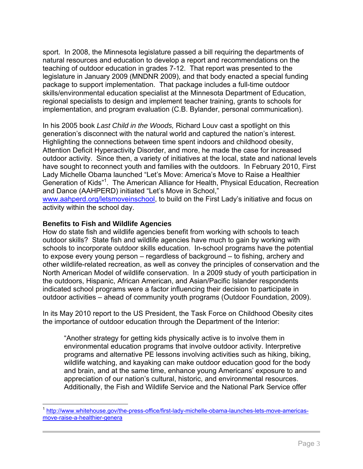sport. In 2008, the Minnesota legislature passed a bill requiring the departments of natural resources and education to develop a report and recommendations on the teaching of outdoor education in grades 7-12. That report was presented to the legislature in January 2009 (MNDNR 2009), and that body enacted a special funding package to support implementation. That package includes a full-time outdoor skills/environmental education specialist at the Minnesota Department of Education, regional specialists to design and implement teacher training, grants to schools for implementation, and program evaluation (C.B. Bylander, personal communication).

In his 2005 book *Last Child in the Woods,* Richard Louv cast a spotlight on this generation's disconnect with the natural world and captured the nation's interest. Highlighting the connections between time spent indoors and childhood obesity, Attention Deficit Hyperactivity Disorder, and more, he made the case for increased outdoor activity. Since then, a variety of initiatives at the local, state and national levels have sought to reconnect youth and families with the outdoors. In February 2010, First Lady Michelle Obama launched "Let's Move: America's Move to Raise a Healthier Generation of Kids"<sup>1</sup>. The American Alliance for Health, Physical Education, Recreation and Dance (AAHPERD) initiated "Let's Move in School," www.aahperd.org/letsmoveinschool, to build on the First Lady's initiative and focus on activity within the school day.

#### **Benefits to Fish and Wildlife Agencies**

 $\overline{a}$ 

How do state fish and wildlife agencies benefit from working with schools to teach outdoor skills? State fish and wildlife agencies have much to gain by working with schools to incorporate outdoor skills education. In-school programs have the potential to expose every young person – regardless of background – to fishing, archery and other wildlife-related recreation, as well as convey the principles of conservation and the North American Model of wildlife conservation. In a 2009 study of youth participation in the outdoors, Hispanic, African American, and Asian/Pacific Islander respondents indicated school programs were a factor influencing their decision to participate in outdoor activities – ahead of community youth programs (Outdoor Foundation, 2009).

In its May 2010 report to the US President, the Task Force on Childhood Obesity cites the importance of outdoor education through the Department of the Interior:

"Another strategy for getting kids physically active is to involve them in environmental education programs that involve outdoor activity. Interpretive programs and alternative PE lessons involving activities such as hiking, biking, wildlife watching, and kayaking can make outdoor education good for the body and brain, and at the same time, enhance young Americans' exposure to and appreciation of our nation's cultural, historic, and environmental resources. Additionally, the Fish and Wildlife Service and the National Park Service offer

<sup>1</sup> http://www.whitehouse.gov/the-press-office/first-lady-michelle-obama-launches-lets-move-americasmove-raise-a-healthier-genera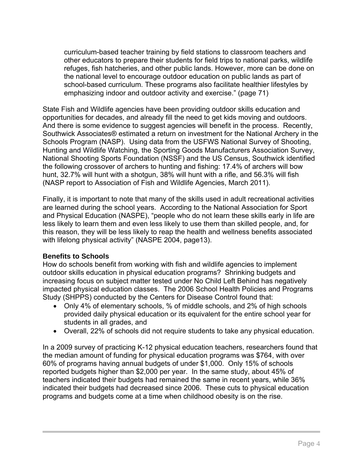curriculum-based teacher training by field stations to classroom teachers and other educators to prepare their students for field trips to national parks, wildlife refuges, fish hatcheries, and other public lands. However, more can be done on the national level to encourage outdoor education on public lands as part of school-based curriculum. These programs also facilitate healthier lifestyles by emphasizing indoor and outdoor activity and exercise." (page 71)

State Fish and Wildlife agencies have been providing outdoor skills education and opportunities for decades, and already fill the need to get kids moving and outdoors. And there is some evidence to suggest agencies will benefit in the process. Recently, Southwick Associates® estimated a return on investment for the National Archery in the Schools Program (NASP). Using data from the USFWS National Survey of Shooting, Hunting and Wildlife Watching, the Sporting Goods Manufacturers Association Survey, National Shooting Sports Foundation (NSSF) and the US Census, Southwick identified the following crossover of archers to hunting and fishing: 17.4% of archers will bow hunt, 32.7% will hunt with a shotgun, 38% will hunt with a rifle, and 56.3% will fish (NASP report to Association of Fish and Wildlife Agencies, March 2011).

Finally, it is important to note that many of the skills used in adult recreational activities are learned during the school years. According to the National Association for Sport and Physical Education (NASPE), "people who do not learn these skills early in life are less likely to learn them and even less likely to use them than skilled people, and, for this reason, they will be less likely to reap the health and wellness benefits associated with lifelong physical activity" (NASPE 2004, page13).

#### **Benefits to Schools**

How do schools benefit from working with fish and wildlife agencies to implement outdoor skills education in physical education programs? Shrinking budgets and increasing focus on subject matter tested under No Child Left Behind has negatively impacted physical education classes. The 2006 School Health Policies and Programs Study (SHPPS) conducted by the Centers for Disease Control found that:

- Only 4% of elementary schools, % of middle schools, and 2% of high schools provided daily physical education or its equivalent for the entire school year for students in all grades, and
- Overall, 22% of schools did not require students to take any physical education.

In a 2009 survey of practicing K-12 physical education teachers, researchers found that the median amount of funding for physical education programs was \$764, with over 60% of programs having annual budgets of under \$1,000. Only 15% of schools reported budgets higher than \$2,000 per year. In the same study, about 45% of teachers indicated their budgets had remained the same in recent years, while 36% indicated their budgets had decreased since 2006. These cuts to physical education programs and budgets come at a time when childhood obesity is on the rise.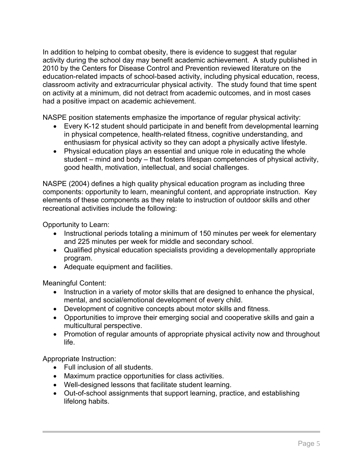In addition to helping to combat obesity, there is evidence to suggest that regular activity during the school day may benefit academic achievement. A study published in 2010 by the Centers for Disease Control and Prevention reviewed literature on the education-related impacts of school-based activity, including physical education, recess, classroom activity and extracurricular physical activity. The study found that time spent on activity at a minimum, did not detract from academic outcomes, and in most cases had a positive impact on academic achievement.

NASPE position statements emphasize the importance of regular physical activity:

- Every K-12 student should participate in and benefit from developmental learning in physical competence, health-related fitness, cognitive understanding, and enthusiasm for physical activity so they can adopt a physically active lifestyle.
- Physical education plays an essential and unique role in educating the whole student – mind and body – that fosters lifespan competencies of physical activity, good health, motivation, intellectual, and social challenges.

NASPE (2004) defines a high quality physical education program as including three components: opportunity to learn, meaningful content, and appropriate instruction. Key elements of these components as they relate to instruction of outdoor skills and other recreational activities include the following:

Opportunity to Learn:

- Instructional periods totaling a minimum of 150 minutes per week for elementary and 225 minutes per week for middle and secondary school.
- Qualified physical education specialists providing a developmentally appropriate program.
- Adequate equipment and facilities.

Meaningful Content:

- Instruction in a variety of motor skills that are designed to enhance the physical, mental, and social/emotional development of every child.
- Development of cognitive concepts about motor skills and fitness.
- Opportunities to improve their emerging social and cooperative skills and gain a multicultural perspective.
- Promotion of regular amounts of appropriate physical activity now and throughout life.

Appropriate Instruction:

- Full inclusion of all students.
- Maximum practice opportunities for class activities.
- Well-designed lessons that facilitate student learning.
- Out-of-school assignments that support learning, practice, and establishing lifelong habits.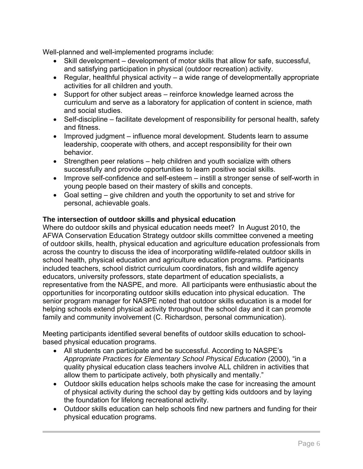Well-planned and well-implemented programs include:

- Skill development development of motor skills that allow for safe, successful, and satisfying participation in physical (outdoor recreation) activity.
- Regular, healthful physical activity a wide range of developmentally appropriate activities for all children and youth.
- Support for other subject areas reinforce knowledge learned across the curriculum and serve as a laboratory for application of content in science, math and social studies.
- Self-discipline facilitate development of responsibility for personal health, safety and fitness.
- Improved judgment influence moral development. Students learn to assume leadership, cooperate with others, and accept responsibility for their own behavior.
- Strengthen peer relations help children and youth socialize with others successfully and provide opportunities to learn positive social skills.
- Improve self-confidence and self-esteem instill a stronger sense of self-worth in young people based on their mastery of skills and concepts.
- Goal setting give children and youth the opportunity to set and strive for personal, achievable goals.

#### **The intersection of outdoor skills and physical education**

Where do outdoor skills and physical education needs meet? In August 2010, the AFWA Conservation Education Strategy outdoor skills committee convened a meeting of outdoor skills, health, physical education and agriculture education professionals from across the country to discuss the idea of incorporating wildlife-related outdoor skills in school health, physical education and agriculture education programs. Participants included teachers, school district curriculum coordinators, fish and wildlife agency educators, university professors, state department of education specialists, a representative from the NASPE, and more. All participants were enthusiastic about the opportunities for incorporating outdoor skills education into physical education. The senior program manager for NASPE noted that outdoor skills education is a model for helping schools extend physical activity throughout the school day and it can promote family and community involvement (C. Richardson, personal communication).

Meeting participants identified several benefits of outdoor skills education to schoolbased physical education programs.

- All students can participate and be successful. According to NASPE's *Appropriate Practices for Elementary School Physical Education* (2000), "in a quality physical education class teachers involve ALL children in activities that allow them to participate actively, both physically and mentally."
- Outdoor skills education helps schools make the case for increasing the amount of physical activity during the school day by getting kids outdoors and by laying the foundation for lifelong recreational activity.
- Outdoor skills education can help schools find new partners and funding for their physical education programs.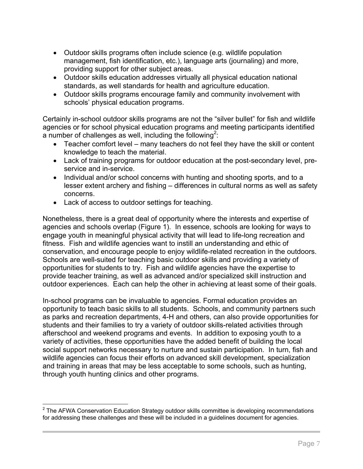- Outdoor skills programs often include science (e.g. wildlife population management, fish identification, etc.), language arts (journaling) and more, providing support for other subject areas.
- Outdoor skills education addresses virtually all physical education national standards, as well standards for health and agriculture education.
- Outdoor skills programs encourage family and community involvement with schools' physical education programs.

Certainly in-school outdoor skills programs are not the "silver bullet" for fish and wildlife agencies or for school physical education programs and meeting participants identified a number of challenges as well, including the following<sup>2</sup>:

- Teacher comfort level many teachers do not feel they have the skill or content knowledge to teach the material.
- Lack of training programs for outdoor education at the post-secondary level, preservice and in-service.
- Individual and/or school concerns with hunting and shooting sports, and to a lesser extent archery and fishing – differences in cultural norms as well as safety concerns.
- Lack of access to outdoor settings for teaching.

Nonetheless, there is a great deal of opportunity where the interests and expertise of agencies and schools overlap (Figure 1). In essence, schools are looking for ways to engage youth in meaningful physical activity that will lead to life-long recreation and fitness. Fish and wildlife agencies want to instill an understanding and ethic of conservation, and encourage people to enjoy wildlife-related recreation in the outdoors. Schools are well-suited for teaching basic outdoor skills and providing a variety of opportunities for students to try. Fish and wildlife agencies have the expertise to provide teacher training, as well as advanced and/or specialized skill instruction and outdoor experiences. Each can help the other in achieving at least some of their goals.

In-school programs can be invaluable to agencies. Formal education provides an opportunity to teach basic skills to all students. Schools, and community partners such as parks and recreation departments, 4-H and others, can also provide opportunities for students and their families to try a variety of outdoor skills-related activities through afterschool and weekend programs and events. In addition to exposing youth to a variety of activities, these opportunities have the added benefit of building the local social support networks necessary to nurture and sustain participation. In turn, fish and wildlife agencies can focus their efforts on advanced skill development, specialization and training in areas that may be less acceptable to some schools, such as hunting, through youth hunting clinics and other programs.

<sup>————————————————————&</sup>lt;br><sup>2</sup> The AFWA Conservation Education Strategy outdoor skills committee is developing recommendations for addressing these challenges and these will be included in a guidelines document for agencies.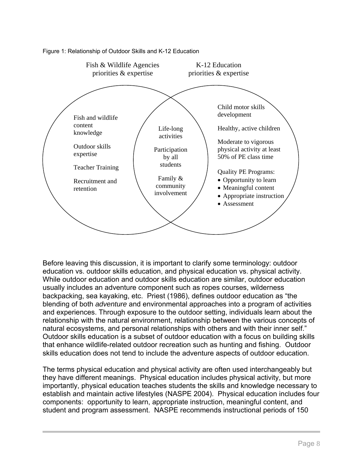

Figure 1: Relationship of Outdoor Skills and K-12 Education

Before leaving this discussion, it is important to clarify some terminology: outdoor education vs. outdoor skills education, and physical education vs. physical activity. While outdoor education and outdoor skills education are similar, outdoor education usually includes an adventure component such as ropes courses, wilderness backpacking, sea kayaking, etc. Priest (1986), defines outdoor education as "the blending of both *adventure* and environmental approaches into a program of activities and experiences. Through exposure to the outdoor setting, individuals learn about the relationship with the natural environment, relationship between the various concepts of natural ecosystems, and personal relationships with others and with their inner self." Outdoor skills education is a subset of outdoor education with a focus on building skills that enhance wildlife-related outdoor recreation such as hunting and fishing. Outdoor skills education does not tend to include the adventure aspects of outdoor education.

The terms physical education and physical activity are often used interchangeably but they have different meanings. Physical education includes physical activity, but more importantly, physical education teaches students the skills and knowledge necessary to establish and maintain active lifestyles (NASPE 2004). Physical education includes four components: opportunity to learn, appropriate instruction, meaningful content, and student and program assessment. NASPE recommends instructional periods of 150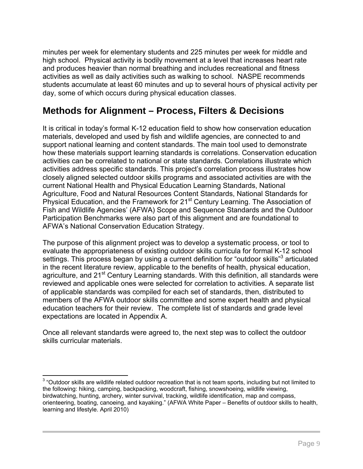minutes per week for elementary students and 225 minutes per week for middle and high school. Physical activity is bodily movement at a level that increases heart rate and produces heavier than normal breathing and includes recreational and fitness activities as well as daily activities such as walking to school. NASPE recommends students accumulate at least 60 minutes and up to several hours of physical activity per day, some of which occurs during physical education classes.

### **Methods for Alignment – Process, Filters & Decisions**

It is critical in today's formal K-12 education field to show how conservation education materials, developed and used by fish and wildlife agencies, are connected to and support national learning and content standards. The main tool used to demonstrate how these materials support learning standards is correlations. Conservation education activities can be correlated to national or state standards. Correlations illustrate which activities address specific standards. This project's correlation process illustrates how closely aligned selected outdoor skills programs and associated activities are with the current National Health and Physical Education Learning Standards, National Agriculture, Food and Natural Resources Content Standards, National Standards for Physical Education, and the Framework for 21<sup>st</sup> Century Learning. The Association of Fish and Wildlife Agencies' (AFWA) Scope and Sequence Standards and the Outdoor Participation Benchmarks were also part of this alignment and are foundational to AFWA's National Conservation Education Strategy.

The purpose of this alignment project was to develop a systematic process, or tool to evaluate the appropriateness of existing outdoor skills curricula for formal K-12 school settings. This process began by using a current definition for "outdoor skills"<sup>3</sup> articulated in the recent literature review, applicable to the benefits of health, physical education, agriculture, and 21<sup>st</sup> Century Learning standards. With this definition, all standards were reviewed and applicable ones were selected for correlation to activities. A separate list of applicable standards was compiled for each set of standards, then, distributed to members of the AFWA outdoor skills committee and some expert health and physical education teachers for their review. The complete list of standards and grade level expectations are located in Appendix A.

Once all relevant standards were agreed to, the next step was to collect the outdoor skills curricular materials.

 $\overline{a}$  $3$  "Outdoor skills are wildlife related outdoor recreation that is not team sports, including but not limited to the following: hiking, camping, backpacking, woodcraft, fishing, snowshoeing, wildlife viewing, birdwatching, hunting, archery, winter survival, tracking, wildlife identification, map and compass, orienteering, boating, canoeing, and kayaking." (AFWA White Paper – Benefits of outdoor skills to health, learning and lifestyle. April 2010)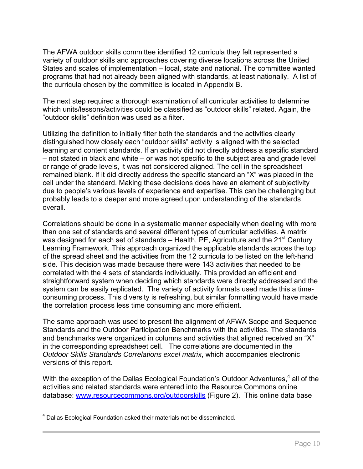The AFWA outdoor skills committee identified 12 curricula they felt represented a variety of outdoor skills and approaches covering diverse locations across the United States and scales of implementation – local, state and national. The committee wanted programs that had not already been aligned with standards, at least nationally. A list of the curricula chosen by the committee is located in Appendix B.

The next step required a thorough examination of all curricular activities to determine which units/lessons/activities could be classified as "outdoor skills" related. Again, the "outdoor skills" definition was used as a filter.

Utilizing the definition to initially filter both the standards and the activities clearly distinguished how closely each "outdoor skills" activity is aligned with the selected learning and content standards. If an activity did not directly address a specific standard – not stated in black and white – or was not specific to the subject area and grade level or range of grade levels, it was not considered aligned. The cell in the spreadsheet remained blank. If it did directly address the specific standard an "X" was placed in the cell under the standard. Making these decisions does have an element of subjectivity due to people's various levels of experience and expertise. This can be challenging but probably leads to a deeper and more agreed upon understanding of the standards overall.

Correlations should be done in a systematic manner especially when dealing with more than one set of standards and several different types of curricular activities. A matrix was designed for each set of standards  $-$  Health, PE, Agriculture and the 21<sup>st</sup> Century Learning Framework. This approach organized the applicable standards across the top of the spread sheet and the activities from the 12 curricula to be listed on the left-hand side. This decision was made because there were 143 activities that needed to be correlated with the 4 sets of standards individually. This provided an efficient and straightforward system when deciding which standards were directly addressed and the system can be easily replicated. The variety of activity formats used made this a timeconsuming process. This diversity is refreshing, but similar formatting would have made the correlation process less time consuming and more efficient.

The same approach was used to present the alignment of AFWA Scope and Sequence Standards and the Outdoor Participation Benchmarks with the activities. The standards and benchmarks were organized in columns and activities that aligned received an "X" in the corresponding spreadsheet cell. The correlations are documented in the *Outdoor Skills Standards Correlations excel matrix*, which accompanies electronic versions of this report.

With the exception of the Dallas Ecological Foundation's Outdoor Adventures, $4$  all of the activities and related standards were entered into the Resource Commons online database: www.resourcecommons.org/outdoorskills (Figure 2). This online data base

 $\overline{a}$ <sup>4</sup> Dallas Ecological Foundation asked their materials not be disseminated.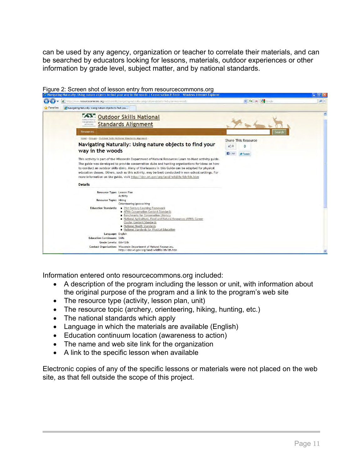can be used by any agency, organization or teacher to correlate their materials, and can be searched by educators looking for lessons, materials, outdoor experiences or other information by grade level, subject matter, and by national standards.



Figure 2: Screen shot of lesson entry from resourcecommons.org<br>Chavisating Naturally: Using nature objects to find your way in the woods Conservation & Envir - Windows Internet Explo

Information entered onto resourcecommons.org included:

- A description of the program including the lesson or unit, with information about the original purpose of the program and a link to the program's web site
- The resource type (activity, lesson plan, unit)
- The resource topic (archery, orienteering, hiking, hunting, etc.)
- The national standards which apply
- Language in which the materials are available (English)
- Education continuum location (awareness to action)
- The name and web site link for the organization
- A link to the specific lesson when available

Electronic copies of any of the specific lessons or materials were not placed on the web site, as that fell outside the scope of this project.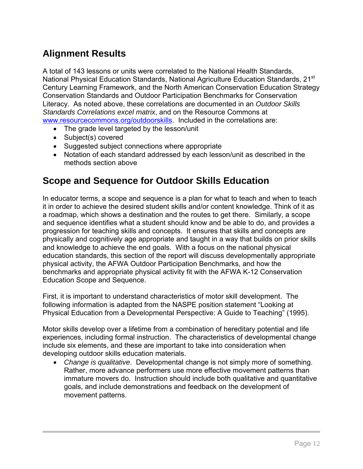### **Alignment Results**

A total of 143 lessons or units were correlated to the National Health Standards, National Physical Education Standards, National Agriculture Education Standards, 21<sup>st</sup> Century Learning Framework, and the North American Conservation Education Strategy Conservation Standards and Outdoor Participation Benchmarks for Conservation Literacy. As noted above, these correlations are documented in an *Outdoor Skills Standards Correlations excel matrix*, and on the Resource Commons at www.resourcecommons.org/outdoorskills. Included in the correlations are:

- The grade level targeted by the lesson/unit
- Subject(s) covered
- Suggested subject connections where appropriate
- Notation of each standard addressed by each lesson/unit as described in the methods section above

### **Scope and Sequence for Outdoor Skills Education**

In educator terms, a scope and sequence is a plan for what to teach and when to teach it in order to achieve the desired student skills and/or content knowledge. Think of it as a roadmap, which shows a destination and the routes to get there. Similarly, a scope and sequence identifies what a student should know and be able to do, and provides a progression for teaching skills and concepts. It ensures that skills and concepts are physically and cognitively age appropriate and taught in a way that builds on prior skills and knowledge to achieve the end goals. With a focus on the national physical education standards, this section of the report will discuss developmentally appropriate physical activity, the AFWA Outdoor Participation Benchmarks, and how the benchmarks and appropriate physical activity fit with the AFWA K-12 Conservation Education Scope and Sequence.

First, it is important to understand characteristics of motor skill development. The following information is adapted from the NASPE position statement "Looking at Physical Education from a Developmental Perspective: A Guide to Teaching" (1995).

Motor skills develop over a lifetime from a combination of hereditary potential and life experiences, including formal instruction. The characteristics of developmental change include six elements, and these are important to take into consideration when developing outdoor skills education materials.

 *Change is qualitative*. Developmental change is not simply more of something. Rather, more advance performers use more effective movement patterns than immature movers do. Instruction should include both qualitative and quantitative goals, and include demonstrations and feedback on the development of movement patterns.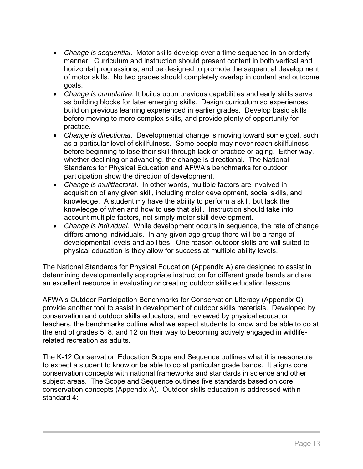- *Change is sequential*. Motor skills develop over a time sequence in an orderly manner. Curriculum and instruction should present content in both vertical and horizontal progressions, and be designed to promote the sequential development of motor skills. No two grades should completely overlap in content and outcome goals.
- *Change is cumulative*. It builds upon previous capabilities and early skills serve as building blocks for later emerging skills. Design curriculum so experiences build on previous learning experienced in earlier grades. Develop basic skills before moving to more complex skills, and provide plenty of opportunity for practice.
- *Change is directional*. Developmental change is moving toward some goal, such as a particular level of skillfulness. Some people may never reach skillfulness before beginning to lose their skill through lack of practice or aging. Either way, whether declining or advancing, the change is directional. The National Standards for Physical Education and AFWA's benchmarks for outdoor participation show the direction of development.
- *Change is mulitfactoral*. In other words, multiple factors are involved in acquisition of any given skill, including motor development, social skills, and knowledge. A student my have the ability to perform a skill, but lack the knowledge of when and how to use that skill. Instruction should take into account multiple factors, not simply motor skill development.
- *Change is individual*. While development occurs in sequence, the rate of change differs among individuals. In any given age group there will be a range of developmental levels and abilities. One reason outdoor skills are will suited to physical education is they allow for success at multiple ability levels.

The National Standards for Physical Education (Appendix A) are designed to assist in determining developmentally appropriate instruction for different grade bands and are an excellent resource in evaluating or creating outdoor skills education lessons.

AFWA's Outdoor Participation Benchmarks for Conservation Literacy (Appendix C) provide another tool to assist in development of outdoor skills materials. Developed by conservation and outdoor skills educators, and reviewed by physical education teachers, the benchmarks outline what we expect students to know and be able to do at the end of grades 5, 8, and 12 on their way to becoming actively engaged in wildliferelated recreation as adults.

The K-12 Conservation Education Scope and Sequence outlines what it is reasonable to expect a student to know or be able to do at particular grade bands. It aligns core conservation concepts with national frameworks and standards in science and other subject areas. The Scope and Sequence outlines five standards based on core conservation concepts (Appendix A). Outdoor skills education is addressed within standard 4: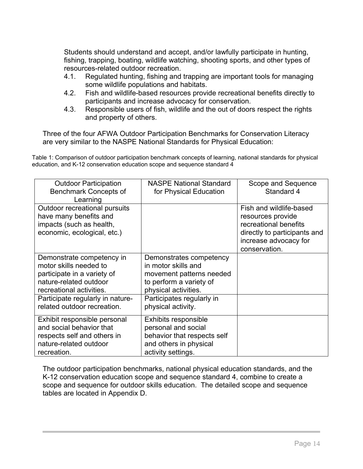Students should understand and accept, and/or lawfully participate in hunting, fishing, trapping, boating, wildlife watching, shooting sports, and other types of resources-related outdoor recreation.

- 4.1. Regulated hunting, fishing and trapping are important tools for managing some wildlife populations and habitats.
- 4.2. Fish and wildlife-based resources provide recreational benefits directly to participants and increase advocacy for conservation.
- 4.3. Responsible users of fish, wildlife and the out of doors respect the rights and property of others.

Three of the four AFWA Outdoor Participation Benchmarks for Conservation Literacy are very similar to the NASPE National Standards for Physical Education:

Table 1: Comparison of outdoor participation benchmark concepts of learning, national standards for physical education, and K-12 conservation education scope and sequence standard 4

| <b>Outdoor Participation</b><br><b>Benchmark Concepts of</b><br>Learning                                                                                                                                    | <b>NASPE National Standard</b><br>for Physical Education                                                                                                                         | Scope and Sequence<br>Standard 4                                                                                                                |
|-------------------------------------------------------------------------------------------------------------------------------------------------------------------------------------------------------------|----------------------------------------------------------------------------------------------------------------------------------------------------------------------------------|-------------------------------------------------------------------------------------------------------------------------------------------------|
| Outdoor recreational pursuits<br>have many benefits and<br>impacts (such as health,<br>economic, ecological, etc.)                                                                                          |                                                                                                                                                                                  | Fish and wildlife-based<br>resources provide<br>recreational benefits<br>directly to participants and<br>increase advocacy for<br>conservation. |
| Demonstrate competency in<br>motor skills needed to<br>participate in a variety of<br>nature-related outdoor<br>recreational activities.<br>Participate regularly in nature-<br>related outdoor recreation. | Demonstrates competency<br>in motor skills and<br>movement patterns needed<br>to perform a variety of<br>physical activities.<br>Participates regularly in<br>physical activity. |                                                                                                                                                 |
| Exhibit responsible personal<br>and social behavior that<br>respects self and others in<br>nature-related outdoor<br>recreation.                                                                            | Exhibits responsible<br>personal and social<br>behavior that respects self<br>and others in physical<br>activity settings.                                                       |                                                                                                                                                 |

The outdoor participation benchmarks, national physical education standards, and the K-12 conservation education scope and sequence standard 4, combine to create a scope and sequence for outdoor skills education. The detailed scope and sequence tables are located in Appendix D.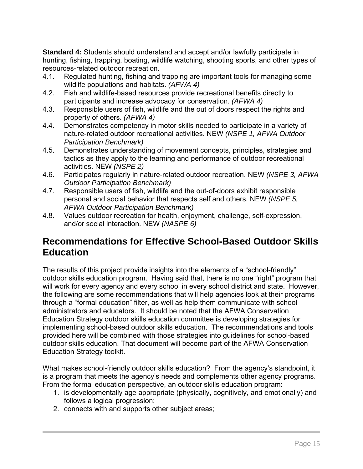**Standard 4:** Students should understand and accept and/or lawfully participate in hunting, fishing, trapping, boating, wildlife watching, shooting sports, and other types of resources-related outdoor recreation.

- 4.1. Regulated hunting, fishing and trapping are important tools for managing some wildlife populations and habitats. *(AFWA 4)*
- 4.2. Fish and wildlife-based resources provide recreational benefits directly to participants and increase advocacy for conservation. *(AFWA 4)*
- 4.3. Responsible users of fish, wildlife and the out of doors respect the rights and property of others. *(AFWA 4)*
- 4.4. Demonstrates competency in motor skills needed to participate in a variety of nature-related outdoor recreational activities. NEW *(NSPE 1, AFWA Outdoor Participation Benchmark)*
- 4.5. Demonstrates understanding of movement concepts, principles, strategies and tactics as they apply to the learning and performance of outdoor recreational activities. NEW *(NSPE 2)*
- 4.6. Participates regularly in nature-related outdoor recreation. NEW *(NSPE 3, AFWA Outdoor Participation Benchmark)*
- 4.7. Responsible users of fish, wildlife and the out-of-doors exhibit responsible personal and social behavior that respects self and others. NEW *(NSPE 5, AFWA Outdoor Participation Benchmark)*
- 4.8. Values outdoor recreation for health, enjoyment, challenge, self-expression, and/or social interaction. NEW *(NASPE 6)*

### **Recommendations for Effective School-Based Outdoor Skills Education**

The results of this project provide insights into the elements of a "school-friendly" outdoor skills education program. Having said that, there is no one "right" program that will work for every agency and every school in every school district and state. However, the following are some recommendations that will help agencies look at their programs through a "formal education" filter, as well as help them communicate with school administrators and educators. It should be noted that the AFWA Conservation Education Strategy outdoor skills education committee is developing strategies for implementing school-based outdoor skills education. The recommendations and tools provided here will be combined with those strategies into guidelines for school-based outdoor skills education. That document will become part of the AFWA Conservation Education Strategy toolkit.

What makes school-friendly outdoor skills education? From the agency's standpoint, it is a program that meets the agency's needs and complements other agency programs. From the formal education perspective, an outdoor skills education program:

- 1. is developmentally age appropriate (physically, cognitively, and emotionally) and follows a logical progression;
- 2. connects with and supports other subject areas;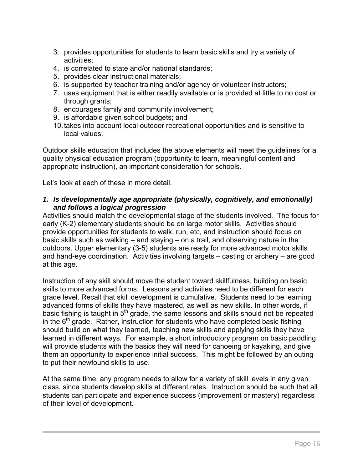- 3. provides opportunities for students to learn basic skills and try a variety of activities;
- 4. is correlated to state and/or national standards;
- 5. provides clear instructional materials;
- 6. is supported by teacher training and/or agency or volunteer instructors;
- 7. uses equipment that is either readily available or is provided at little to no cost or through grants;
- 8. encourages family and community involvement;
- 9. is affordable given school budgets; and
- 10. takes into account local outdoor recreational opportunities and is sensitive to local values.

Outdoor skills education that includes the above elements will meet the guidelines for a quality physical education program (opportunity to learn, meaningful content and appropriate instruction), an important consideration for schools.

Let's look at each of these in more detail.

#### *1. Is developmentally age appropriate (physically, cognitively, and emotionally) and follows a logical progression*

Activities should match the developmental stage of the students involved. The focus for early (K-2) elementary students should be on large motor skills. Activities should provide opportunities for students to walk, run, etc, and instruction should focus on basic skills such as walking – and staying – on a trail, and observing nature in the outdoors. Upper elementary (3-5) students are ready for more advanced motor skills and hand-eye coordination. Activities involving targets – casting or archery – are good at this age.

Instruction of any skill should move the student toward skillfulness, building on basic skills to more advanced forms. Lessons and activities need to be different for each grade level. Recall that skill development is cumulative. Students need to be learning advanced forms of skills they have mastered, as well as new skills. In other words, if basic fishing is taught in  $5<sup>th</sup>$  grade, the same lessons and skills should not be repeated in the  $6<sup>th</sup>$  grade. Rather, instruction for students who have completed basic fishing should build on what they learned, teaching new skills and applying skills they have learned in different ways. For example, a short introductory program on basic paddling will provide students with the basics they will need for canoeing or kayaking, and give them an opportunity to experience initial success. This might be followed by an outing to put their newfound skills to use.

At the same time, any program needs to allow for a variety of skill levels in any given class, since students develop skills at different rates. Instruction should be such that all students can participate and experience success (improvement or mastery) regardless of their level of development.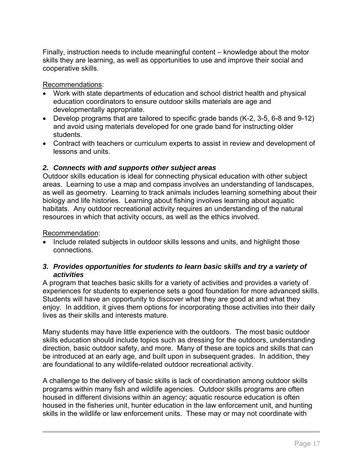Finally, instruction needs to include meaningful content – knowledge about the motor skills they are learning, as well as opportunities to use and improve their social and cooperative skills.

Recommendations:

- Work with state departments of education and school district health and physical education coordinators to ensure outdoor skills materials are age and developmentally appropriate.
- Develop programs that are tailored to specific grade bands (K-2, 3-5, 6-8 and 9-12) and avoid using materials developed for one grade band for instructing older students.
- Contract with teachers or curriculum experts to assist in review and development of lessons and units.

#### *2. Connects with and supports other subject areas*

Outdoor skills education is ideal for connecting physical education with other subject areas. Learning to use a map and compass involves an understanding of landscapes, as well as geometry. Learning to track animals includes learning something about their biology and life histories. Learning about fishing involves learning about aquatic habitats. Any outdoor recreational activity requires an understanding of the natural resources in which that activity occurs, as well as the ethics involved.

Recommendation:

• Include related subjects in outdoor skills lessons and units, and highlight those connections.

#### *3. Provides opportunities for students to learn basic skills and try a variety of activities*

A program that teaches basic skills for a variety of activities and provides a variety of experiences for students to experience sets a good foundation for more advanced skills. Students will have an opportunity to discover what they are good at and what they enjoy. In addition, it gives them options for incorporating those activities into their daily lives as their skills and interests mature.

Many students may have little experience with the outdoors. The most basic outdoor skills education should include topics such as dressing for the outdoors, understanding direction, basic outdoor safety, and more. Many of these are topics and skills that can be introduced at an early age, and built upon in subsequent grades. In addition, they are foundational to any wildlife-related outdoor recreational activity.

A challenge to the delivery of basic skills is lack of coordination among outdoor skills programs within many fish and wildlife agencies. Outdoor skills programs are often housed in different divisions within an agency; aquatic resource education is often housed in the fisheries unit, hunter education in the law enforcement unit, and hunting skills in the wildlife or law enforcement units. These may or may not coordinate with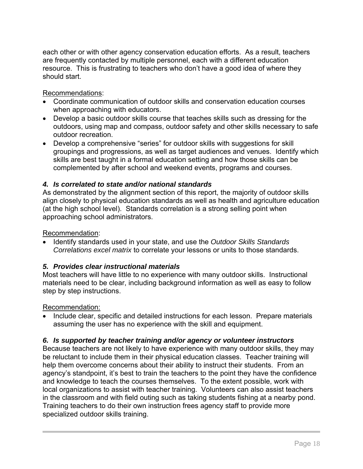each other or with other agency conservation education efforts. As a result, teachers are frequently contacted by multiple personnel, each with a different education resource. This is frustrating to teachers who don't have a good idea of where they should start.

#### Recommendations:

- Coordinate communication of outdoor skills and conservation education courses when approaching with educators.
- Develop a basic outdoor skills course that teaches skills such as dressing for the outdoors, using map and compass, outdoor safety and other skills necessary to safe outdoor recreation.
- Develop a comprehensive "series" for outdoor skills with suggestions for skill groupings and progressions, as well as target audiences and venues. Identify which skills are best taught in a formal education setting and how those skills can be complemented by after school and weekend events, programs and courses.

#### *4. Is correlated to state and/or national standards*

As demonstrated by the alignment section of this report, the majority of outdoor skills align closely to physical education standards as well as health and agriculture education (at the high school level). Standards correlation is a strong selling point when approaching school administrators.

#### Recommendation:

 Identify standards used in your state, and use the *Outdoor Skills Standards Correlations excel matrix* to correlate your lessons or units to those standards.

#### *5. Provides clear instructional materials*

Most teachers will have little to no experience with many outdoor skills. Instructional materials need to be clear, including background information as well as easy to follow step by step instructions.

#### Recommendation:

• Include clear, specific and detailed instructions for each lesson. Prepare materials assuming the user has no experience with the skill and equipment.

#### *6. Is supported by teacher training and/or agency or volunteer instructors*

Because teachers are not likely to have experience with many outdoor skills, they may be reluctant to include them in their physical education classes. Teacher training will help them overcome concerns about their ability to instruct their students. From an agency's standpoint, it's best to train the teachers to the point they have the confidence and knowledge to teach the courses themselves. To the extent possible, work with local organizations to assist with teacher training. Volunteers can also assist teachers in the classroom and with field outing such as taking students fishing at a nearby pond. Training teachers to do their own instruction frees agency staff to provide more specialized outdoor skills training.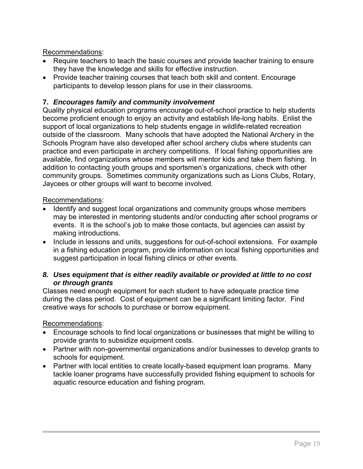#### Recommendations:

- Require teachers to teach the basic courses and provide teacher training to ensure they have the knowledge and skills for effective instruction.
- Provide teacher training courses that teach both skill and content. Encourage participants to develop lesson plans for use in their classrooms.

#### **7.** *Encourages family and community involvement*

Quality physical education programs encourage out-of-school practice to help students become proficient enough to enjoy an activity and establish life-long habits. Enlist the support of local organizations to help students engage in wildlife-related recreation outside of the classroom. Many schools that have adopted the National Archery in the Schools Program have also developed after school archery clubs where students can practice and even participate in archery competitions. If local fishing opportunities are available, find organizations whose members will mentor kids and take them fishing. In addition to contacting youth groups and sportsmen's organizations, check with other community groups. Sometimes community organizations such as Lions Clubs, Rotary, Jaycees or other groups will want to become involved.

#### Recommendations:

- Identify and suggest local organizations and community groups whose members may be interested in mentoring students and/or conducting after school programs or events. It is the school's job to make those contacts, but agencies can assist by making introductions.
- Include in lessons and units, suggestions for out-of-school extensions. For example in a fishing education program, provide information on local fishing opportunities and suggest participation in local fishing clinics or other events.

#### *8. Uses equipment that is either readily available or provided at little to no cost or through grants*

Classes need enough equipment for each student to have adequate practice time during the class period. Cost of equipment can be a significant limiting factor. Find creative ways for schools to purchase or borrow equipment.

#### Recommendations:

- Encourage schools to find local organizations or businesses that might be willing to provide grants to subsidize equipment costs.
- Partner with non-governmental organizations and/or businesses to develop grants to schools for equipment.
- Partner with local entities to create locally-based equipment loan programs. Many tackle loaner programs have successfully provided fishing equipment to schools for aquatic resource education and fishing program.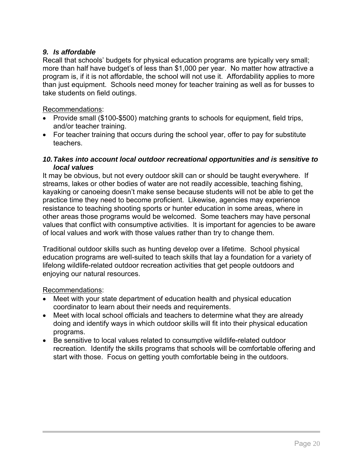#### *9. Is affordable*

Recall that schools' budgets for physical education programs are typically very small; more than half have budget's of less than \$1,000 per year. No matter how attractive a program is, if it is not affordable, the school will not use it. Affordability applies to more than just equipment. Schools need money for teacher training as well as for busses to take students on field outings.

#### Recommendations:

- Provide small (\$100-\$500) matching grants to schools for equipment, field trips, and/or teacher training.
- For teacher training that occurs during the school year, offer to pay for substitute teachers.

#### *10. Takes into account local outdoor recreational opportunities and is sensitive to local values*

It may be obvious, but not every outdoor skill can or should be taught everywhere. If streams, lakes or other bodies of water are not readily accessible, teaching fishing, kayaking or canoeing doesn't make sense because students will not be able to get the practice time they need to become proficient. Likewise, agencies may experience resistance to teaching shooting sports or hunter education in some areas, where in other areas those programs would be welcomed. Some teachers may have personal values that conflict with consumptive activities. It is important for agencies to be aware of local values and work with those values rather than try to change them.

Traditional outdoor skills such as hunting develop over a lifetime. School physical education programs are well-suited to teach skills that lay a foundation for a variety of lifelong wildlife-related outdoor recreation activities that get people outdoors and enjoying our natural resources.

#### Recommendations:

- Meet with your state department of education health and physical education coordinator to learn about their needs and requirements.
- Meet with local school officials and teachers to determine what they are already doing and identify ways in which outdoor skills will fit into their physical education programs.
- Be sensitive to local values related to consumptive wildlife-related outdoor recreation. Identify the skills programs that schools will be comfortable offering and start with those. Focus on getting youth comfortable being in the outdoors.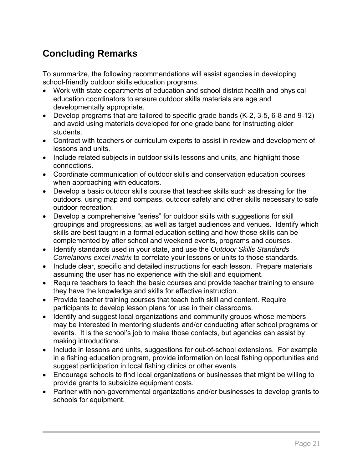### **Concluding Remarks**

To summarize, the following recommendations will assist agencies in developing school-friendly outdoor skills education programs.

- Work with state departments of education and school district health and physical education coordinators to ensure outdoor skills materials are age and developmentally appropriate.
- Develop programs that are tailored to specific grade bands (K-2, 3-5, 6-8 and 9-12) and avoid using materials developed for one grade band for instructing older students.
- Contract with teachers or curriculum experts to assist in review and development of lessons and units.
- Include related subjects in outdoor skills lessons and units, and highlight those connections.
- Coordinate communication of outdoor skills and conservation education courses when approaching with educators.
- Develop a basic outdoor skills course that teaches skills such as dressing for the outdoors, using map and compass, outdoor safety and other skills necessary to safe outdoor recreation.
- Develop a comprehensive "series" for outdoor skills with suggestions for skill groupings and progressions, as well as target audiences and venues. Identify which skills are best taught in a formal education setting and how those skills can be complemented by after school and weekend events, programs and courses.
- Identify standards used in your state, and use the *Outdoor Skills Standards Correlations excel matrix* to correlate your lessons or units to those standards.
- Include clear, specific and detailed instructions for each lesson. Prepare materials assuming the user has no experience with the skill and equipment.
- Require teachers to teach the basic courses and provide teacher training to ensure they have the knowledge and skills for effective instruction.
- Provide teacher training courses that teach both skill and content. Require participants to develop lesson plans for use in their classrooms.
- Identify and suggest local organizations and community groups whose members may be interested in mentoring students and/or conducting after school programs or events. It is the school's job to make those contacts, but agencies can assist by making introductions.
- Include in lessons and units, suggestions for out-of-school extensions. For example in a fishing education program, provide information on local fishing opportunities and suggest participation in local fishing clinics or other events.
- Encourage schools to find local organizations or businesses that might be willing to provide grants to subsidize equipment costs.
- Partner with non-governmental organizations and/or businesses to develop grants to schools for equipment.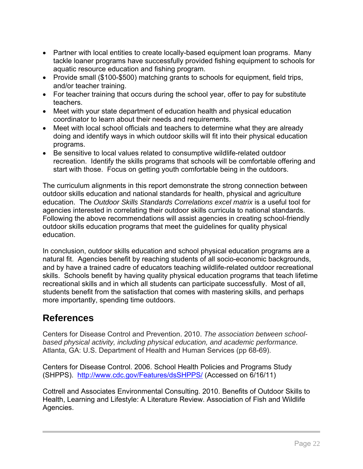- Partner with local entities to create locally-based equipment loan programs. Many tackle loaner programs have successfully provided fishing equipment to schools for aquatic resource education and fishing program.
- Provide small (\$100-\$500) matching grants to schools for equipment, field trips, and/or teacher training.
- For teacher training that occurs during the school year, offer to pay for substitute teachers.
- Meet with your state department of education health and physical education coordinator to learn about their needs and requirements.
- Meet with local school officials and teachers to determine what they are already doing and identify ways in which outdoor skills will fit into their physical education programs.
- Be sensitive to local values related to consumptive wildlife-related outdoor recreation. Identify the skills programs that schools will be comfortable offering and start with those. Focus on getting youth comfortable being in the outdoors.

The curriculum alignments in this report demonstrate the strong connection between outdoor skills education and national standards for health, physical and agriculture education. The *Outdoor Skills Standards Correlations excel matrix* is a useful tool for agencies interested in correlating their outdoor skills curricula to national standards. Following the above recommendations will assist agencies in creating school-friendly outdoor skills education programs that meet the guidelines for quality physical education.

In conclusion, outdoor skills education and school physical education programs are a natural fit. Agencies benefit by reaching students of all socio-economic backgrounds, and by have a trained cadre of educators teaching wildlife-related outdoor recreational skills. Schools benefit by having quality physical education programs that teach lifetime recreational skills and in which all students can participate successfully. Most of all, students benefit from the satisfaction that comes with mastering skills, and perhaps more importantly, spending time outdoors.

### **References**

Centers for Disease Control and Prevention. 2010. *The association between schoolbased physical activity, including physical education, and academic performance.*  Atlanta, GA: U.S. Department of Health and Human Services (pp 68-69).

Centers for Disease Control. 2006. School Health Policies and Programs Study (SHPPS). http://www.cdc.gov/Features/dsSHPPS/ (Accessed on 6/16/11)

Cottrell and Associates Environmental Consulting. 2010. Benefits of Outdoor Skills to Health, Learning and Lifestyle: A Literature Review. Association of Fish and Wildlife Agencies.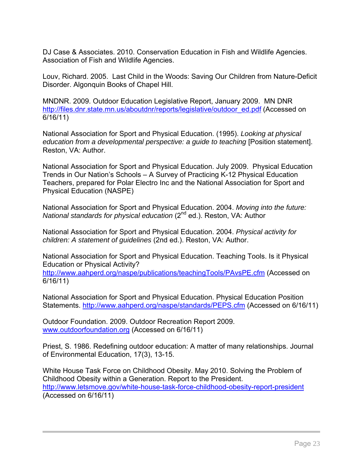DJ Case & Associates. 2010. Conservation Education in Fish and Wildlife Agencies. Association of Fish and Wildlife Agencies.

Louv, Richard. 2005. Last Child in the Woods: Saving Our Children from Nature-Deficit Disorder. Algonquin Books of Chapel Hill.

MNDNR. 2009. Outdoor Education Legislative Report, January 2009. MN DNR http://files.dnr.state.mn.us/aboutdnr/reports/legislative/outdoor\_ed.pdf (Accessed on 6/16/11)

National Association for Sport and Physical Education. (1995). *Looking at physical education from a developmental perspective: a quide to teaching* [Position statement]. Reston, VA: Author.

National Association for Sport and Physical Education. July 2009. Physical Education Trends in Our Nation's Schools – A Survey of Practicing K-12 Physical Education Teachers, prepared for Polar Electro Inc and the National Association for Sport and Physical Education (NASPE)

National Association for Sport and Physical Education. 2004. *Moving into the future: National standards for physical education* (2nd ed.). Reston, VA: Author

National Association for Sport and Physical Education. 2004. *Physical activity for children: A statement of guidelines* (2nd ed.). Reston, VA: Author.

National Association for Sport and Physical Education. Teaching Tools. Is it Physical Education or Physical Activity?

http://www.aahperd.org/naspe/publications/teachingTools/PAvsPE.cfm (Accessed on 6/16/11)

National Association for Sport and Physical Education. Physical Education Position Statements. http://www.aahperd.org/naspe/standards/PEPS.cfm (Accessed on 6/16/11)

Outdoor Foundation. 2009. Outdoor Recreation Report 2009. www.outdoorfoundation.org (Accessed on 6/16/11)

Priest, S. 1986. Redefining outdoor education: A matter of many relationships. Journal of Environmental Education, 17(3), 13-15.

White House Task Force on Childhood Obesity. May 2010. Solving the Problem of Childhood Obesity within a Generation. Report to the President. http://www.letsmove.gov/white-house-task-force-childhood-obesity-report-president (Accessed on 6/16/11)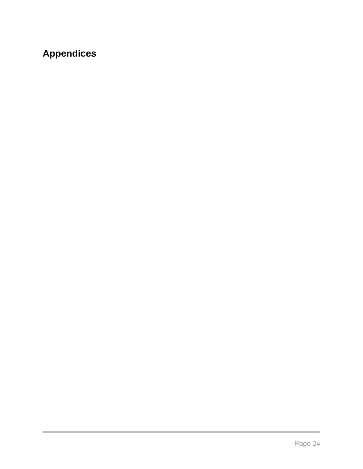## **Appendices**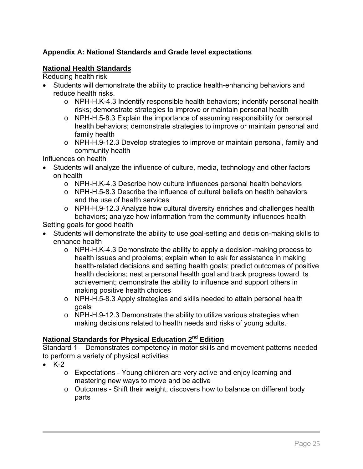#### **Appendix A: National Standards and Grade level expectations**

#### **National Health Standards**

Reducing health risk

- Students will demonstrate the ability to practice health-enhancing behaviors and reduce health risks.
	- o NPH-H.K-4.3 Indentify responsible health behaviors; indentify personal health risks; demonstrate strategies to improve or maintain personal health
	- o NPH-H.5-8.3 Explain the importance of assuming responsibility for personal health behaviors; demonstrate strategies to improve or maintain personal and family health
	- o NPH-H.9-12.3 Develop strategies to improve or maintain personal, family and community health

Influences on health

- Students will analyze the influence of culture, media, technology and other factors on health
	- o NPH-H.K-4.3 Describe how culture influences personal health behaviors
	- o NPH-H.5-8.3 Describe the influence of cultural beliefs on health behaviors and the use of health services
	- o NPH-H.9-12.3 Analyze how cultural diversity enriches and challenges health behaviors; analyze how information from the community influences health

Setting goals for good health

- Students will demonstrate the ability to use goal-setting and decision-making skills to enhance health
	- o NPH-H.K-4.3 Demonstrate the ability to apply a decision-making process to health issues and problems; explain when to ask for assistance in making health-related decisions and setting health goals; predict outcomes of positive health decisions; nest a personal health goal and track progress toward its achievement; demonstrate the ability to influence and support others in making positive health choices
	- o NPH-H.5-8.3 Apply strategies and skills needed to attain personal health goals
	- $\circ$  NPH-H.9-12.3 Demonstrate the ability to utilize various strategies when making decisions related to health needs and risks of young adults.

#### **National Standards for Physical Education 2nd Edition**

Standard 1 – Demonstrates competency in motor skills and movement patterns needed to perform a variety of physical activities

- $\bullet$  K-2
	- $\circ$  Expectations Young children are very active and enjoy learning and mastering new ways to move and be active
	- o Outcomes Shift their weight, discovers how to balance on different body parts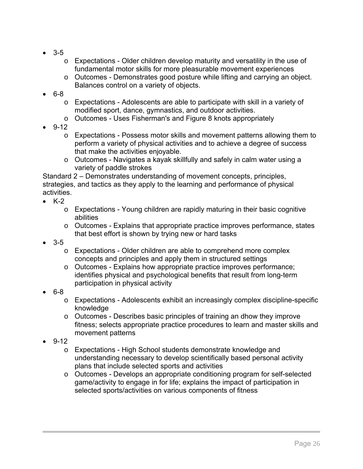- 3-5
	- o Expectations Older children develop maturity and versatility in the use of fundamental motor skills for more pleasurable movement experiences
	- o Outcomes Demonstrates good posture while lifting and carrying an object. Balances control on a variety of objects.
- 6-8
	- o Expectations Adolescents are able to participate with skill in a variety of modified sport, dance, gymnastics, and outdoor activities.
	- o Outcomes Uses Fisherman's and Figure 8 knots appropriately
- 9-12
	- o Expectations Possess motor skills and movement patterns allowing them to perform a variety of physical activities and to achieve a degree of success that make the activities enjoyable.
	- o Outcomes Navigates a kayak skillfully and safely in calm water using a variety of paddle strokes

Standard 2 – Demonstrates understanding of movement concepts, principles, strategies, and tactics as they apply to the learning and performance of physical activities.

- $\bullet$  K-2
	- o Expectations Young children are rapidly maturing in their basic cognitive abilities
	- o Outcomes Explains that appropriate practice improves performance, states that best effort is shown by trying new or hard tasks
- 3-5
	- o Expectations Older children are able to comprehend more complex concepts and principles and apply them in structured settings
	- o Outcomes Explains how appropriate practice improves performance; identifies physical and psychological benefits that result from long-term participation in physical activity
- 6-8
	- o Expectations Adolescents exhibit an increasingly complex discipline-specific knowledge
	- o Outcomes Describes basic principles of training an dhow they improve fitness; selects appropriate practice procedures to learn and master skills and movement patterns
- 9-12
	- o Expectations High School students demonstrate knowledge and understanding necessary to develop scientifically based personal activity plans that include selected sports and activities
	- o Outcomes Develops an appropriate conditioning program for self-selected game/activity to engage in for life; explains the impact of participation in selected sports/activities on various components of fitness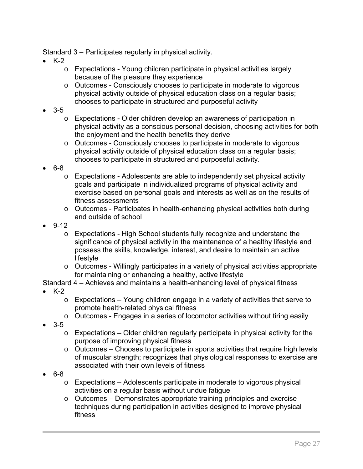Standard 3 – Participates regularly in physical activity.

- $\bullet$  K-2
	- o Expectations Young children participate in physical activities largely because of the pleasure they experience
	- o Outcomes Consciously chooses to participate in moderate to vigorous physical activity outside of physical education class on a regular basis; chooses to participate in structured and purposeful activity
- 3-5
	- $\circ$  Expectations Older children develop an awareness of participation in physical activity as a conscious personal decision, choosing activities for both the enjoyment and the health benefits they derive
	- o Outcomes Consciously chooses to participate in moderate to vigorous physical activity outside of physical education class on a regular basis; chooses to participate in structured and purposeful activity.
- 6-8
	- o Expectations Adolescents are able to independently set physical activity goals and participate in individualized programs of physical activity and exercise based on personal goals and interests as well as on the results of fitness assessments
	- o Outcomes Participates in health-enhancing physical activities both during and outside of school
- 9-12
	- o Expectations High School students fully recognize and understand the significance of physical activity in the maintenance of a healthy lifestyle and possess the skills, knowledge, interest, and desire to maintain an active lifestyle
	- o Outcomes Willingly participates in a variety of physical activities appropriate for maintaining or enhancing a healthy, active lifestyle
- Standard 4 Achieves and maintains a health-enhancing level of physical fitness
- $\bullet$  K-2
	- o Expectations Young children engage in a variety of activities that serve to promote health-related physical fitness
	- o Outcomes Engages in a series of locomotor activities without tiring easily
- 3-5
	- $\circ$  Expectations Older children regularly participate in physical activity for the purpose of improving physical fitness
	- o Outcomes Chooses to participate in sports activities that require high levels of muscular strength; recognizes that physiological responses to exercise are associated with their own levels of fitness
- 6-8
	- $\circ$  Expectations Adolescents participate in moderate to vigorous physical activities on a regular basis without undue fatigue
	- o Outcomes Demonstrates appropriate training principles and exercise techniques during participation in activities designed to improve physical fitness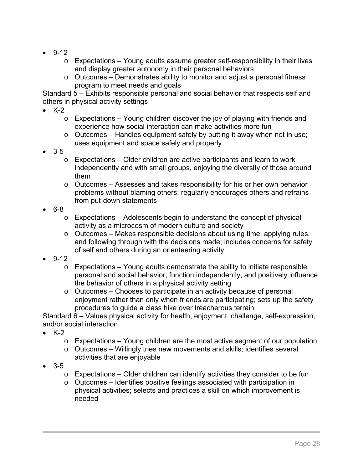- $-9-12$ 
	- $\circ$  Expectations Young adults assume greater self-responsibility in their lives and display greater autonomy in their personal behaviors
	- o Outcomes Demonstrates ability to monitor and adjust a personal fitness program to meet needs and goals

Standard 5 – Exhibits responsible personal and social behavior that respects self and others in physical activity settings

- $\bullet$  K-2
	- $\circ$  Expectations Young children discover the joy of playing with friends and experience how social interaction can make activities more fun
	- $\circ$  Outcomes Handles equipment safely by putting it away when not in use; uses equipment and space safely and properly
- 3-5
	- o Expectations Older children are active participants and learn to work independently and with small groups, enjoying the diversity of those around them
	- o Outcomes Assesses and takes responsibility for his or her own behavior problems without blaming others; regularly encourages others and refrains from put-down statements
- 6-8
	- $\circ$  Expectations Adolescents begin to understand the concept of physical activity as a microcosm of modern culture and society
	- o Outcomes Makes responsible decisions about using time, applying rules, and following through with the decisions made; includes concerns for safety of self and others during an orienteering activity
- 9-12
	- $\circ$  Expectations Young adults demonstrate the ability to initiate responsible personal and social behavior, function independently, and positively influence the behavior of others in a physical activity setting
	- o Outcomes Chooses to participate in an activity because of personal enjoyment rather than only when friends are participating; sets up the safety procedures to guide a class hike over treacherous terrain

Standard 6 – Values physical activity for health, enjoyment, challenge, self-expression, and/or social interaction

- $\bullet$  K-2
	- $\circ$  Expectations Young children are the most active segment of our population
	- o Outcomes Willingly tries new movements and skills; identifies several activities that are enjoyable
- 3-5
	- $\circ$  Expectations Older children can identify activities they consider to be fun
	- o Outcomes Identifies positive feelings associated with participation in physical activities; selects and practices a skill on which improvement is needed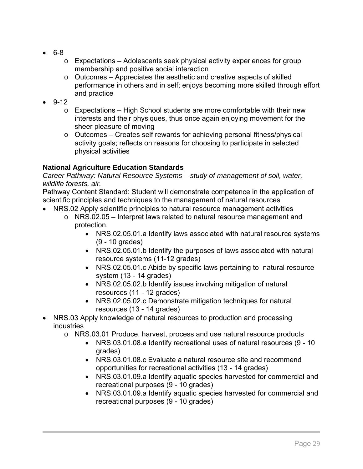- 6-8
	- $\circ$  Expectations Adolescents seek physical activity experiences for group membership and positive social interaction
	- o Outcomes Appreciates the aesthetic and creative aspects of skilled performance in others and in self; enjoys becoming more skilled through effort and practice
- 9-12
	- $\circ$  Expectations High School students are more comfortable with their new interests and their physiques, thus once again enjoying movement for the sheer pleasure of moving
	- o Outcomes Creates self rewards for achieving personal fitness/physical activity goals; reflects on reasons for choosing to participate in selected physical activities

#### **National Agriculture Education Standards**

*Career Pathway: Natural Resource Systems – study of management of soil, water, wildlife forests, air.* 

Pathway Content Standard: Student will demonstrate competence in the application of scientific principles and techniques to the management of natural resources

- NRS.02 Apply scientific principles to natural resource management activities
	- o NRS.02.05 Interpret laws related to natural resource management and protection.
		- NRS.02.05.01.a Identify laws associated with natural resource systems (9 - 10 grades)
		- NRS.02.05.01.b Identify the purposes of laws associated with natural resource systems (11-12 grades)
		- NRS.02.05.01.c Abide by specific laws pertaining to natural resource system (13 - 14 grades)
		- NRS.02.05.02.b Identify issues involving mitigation of natural resources (11 - 12 grades)
		- NRS.02.05.02.c Demonstrate mitigation techniques for natural resources (13 - 14 grades)
- NRS.03 Apply knowledge of natural resources to production and processing industries
	- o NRS.03.01 Produce, harvest, process and use natural resource products
		- NRS.03.01.08.a Identify recreational uses of natural resources (9 10 grades)
		- NRS.03.01.08.c Evaluate a natural resource site and recommend opportunities for recreational activities (13 - 14 grades)
		- NRS.03.01.09.a Identify aquatic species harvested for commercial and recreational purposes (9 - 10 grades)
		- NRS.03.01.09.a Identify aquatic species harvested for commercial and recreational purposes (9 - 10 grades)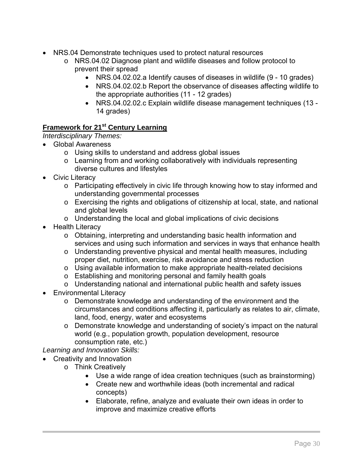- NRS.04 Demonstrate techniques used to protect natural resources
	- o NRS.04.02 Diagnose plant and wildlife diseases and follow protocol to prevent their spread
		- NRS.04.02.02.a Identify causes of diseases in wildlife (9 10 grades)
		- NRS.04.02.02.b Report the observance of diseases affecting wildlife to the appropriate authorities (11 - 12 grades)
		- NRS.04.02.02.c Explain wildlife disease management techniques (13 14 grades)

### **Framework for 21st Century Learning**

*Interdisciplinary Themes:* 

- Global Awareness
	- o Using skills to understand and address global issues
	- o Learning from and working collaboratively with individuals representing diverse cultures and lifestyles
- Civic Literacy
	- o Participating effectively in civic life through knowing how to stay informed and understanding governmental processes
	- o Exercising the rights and obligations of citizenship at local, state, and national and global levels
	- o Understanding the local and global implications of civic decisions
- Health Literacy
	- o Obtaining, interpreting and understanding basic health information and services and using such information and services in ways that enhance health
	- o Understanding preventive physical and mental health measures, including proper diet, nutrition, exercise, risk avoidance and stress reduction
	- o Using available information to make appropriate health-related decisions
	- o Establishing and monitoring personal and family health goals
	- o Understanding national and international public health and safety issues
- Environmental Literacy
	- o Demonstrate knowledge and understanding of the environment and the circumstances and conditions affecting it, particularly as relates to air, climate, land, food, energy, water and ecosystems
	- o Demonstrate knowledge and understanding of society's impact on the natural world (e.g., population growth, population development, resource consumption rate, etc.)

*Learning and Innovation Skills:*

- Creativity and Innovation
	- o Think Creatively
		- Use a wide range of idea creation techniques (such as brainstorming)
		- Create new and worthwhile ideas (both incremental and radical concepts)
		- Elaborate, refine, analyze and evaluate their own ideas in order to improve and maximize creative efforts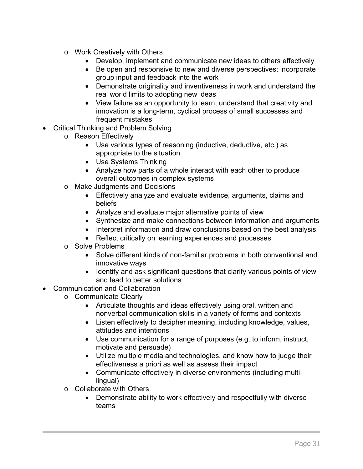- o Work Creatively with Others
	- Develop, implement and communicate new ideas to others effectively
	- Be open and responsive to new and diverse perspectives; incorporate group input and feedback into the work
	- Demonstrate originality and inventiveness in work and understand the real world limits to adopting new ideas
	- View failure as an opportunity to learn; understand that creativity and innovation is a long-term, cyclical process of small successes and frequent mistakes
- Critical Thinking and Problem Solving
	- o Reason Effectively
		- Use various types of reasoning (inductive, deductive, etc.) as appropriate to the situation
		- Use Systems Thinking
		- Analyze how parts of a whole interact with each other to produce overall outcomes in complex systems
	- o Make Judgments and Decisions
		- Effectively analyze and evaluate evidence, arguments, claims and beliefs
		- Analyze and evaluate major alternative points of view
		- Synthesize and make connections between information and arguments
		- Interpret information and draw conclusions based on the best analysis
		- Reflect critically on learning experiences and processes
	- o Solve Problems
		- Solve different kinds of non-familiar problems in both conventional and innovative ways
		- Identify and ask significant questions that clarify various points of view and lead to better solutions
- Communication and Collaboration
	- o Communicate Clearly
		- Articulate thoughts and ideas effectively using oral, written and nonverbal communication skills in a variety of forms and contexts
		- Listen effectively to decipher meaning, including knowledge, values, attitudes and intentions
		- Use communication for a range of purposes (e.g. to inform, instruct, motivate and persuade)
		- Utilize multiple media and technologies, and know how to judge their effectiveness a priori as well as assess their impact
		- Communicate effectively in diverse environments (including multilingual)
	- o Collaborate with Others
		- Demonstrate ability to work effectively and respectfully with diverse teams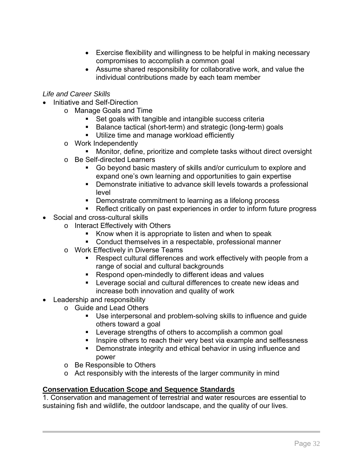- Exercise flexibility and willingness to be helpful in making necessary compromises to accomplish a common goal
- Assume shared responsibility for collaborative work, and value the individual contributions made by each team member

#### *Life and Career Skills*

- Initiative and Self-Direction
	- o Manage Goals and Time
		- **Set goals with tangible and intangible success criterially**
		- **Balance tactical (short-term) and strategic (long-term) goals**
		- **Utilize time and manage workload efficiently**
	- o Work Independently
		- Monitor, define, prioritize and complete tasks without direct oversight
	- o Be Self-directed Learners
		- Go beyond basic mastery of skills and/or curriculum to explore and expand one's own learning and opportunities to gain expertise
		- Demonstrate initiative to advance skill levels towards a professional level
		- **Demonstrate commitment to learning as a lifelong process**
		- Reflect critically on past experiences in order to inform future progress
- Social and cross-cultural skills
	- o Interact Effectively with Others
		- Know when it is appropriate to listen and when to speak
		- Conduct themselves in a respectable, professional manner
	- o Work Effectively in Diverse Teams
		- Respect cultural differences and work effectively with people from a range of social and cultural backgrounds
		- Respond open-mindedly to different ideas and values
		- **EXECTE 2018** Leverage social and cultural differences to create new ideas and increase both innovation and quality of work
- Leadership and responsibility
	- o Guide and Lead Others
		- Use interpersonal and problem-solving skills to influence and guide others toward a goal
		- **Leverage strengths of others to accomplish a common goal**
		- **Inspire others to reach their very best via example and selflessness**
		- **•** Demonstrate integrity and ethical behavior in using influence and power
	- o Be Responsible to Others
	- o Act responsibly with the interests of the larger community in mind

#### **Conservation Education Scope and Sequence Standards**

1. Conservation and management of terrestrial and water resources are essential to sustaining fish and wildlife, the outdoor landscape, and the quality of our lives.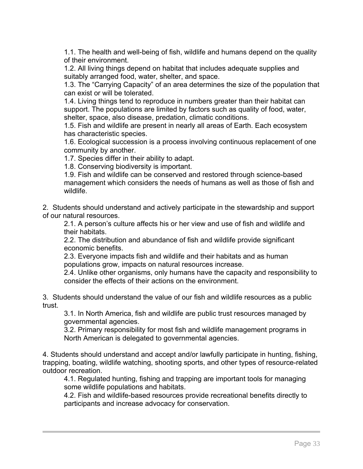1.1. The health and well-being of fish, wildlife and humans depend on the quality of their environment.

1.2. All living things depend on habitat that includes adequate supplies and suitably arranged food, water, shelter, and space.

1.3. The "Carrying Capacity" of an area determines the size of the population that can exist or will be tolerated.

1.4. Living things tend to reproduce in numbers greater than their habitat can support. The populations are limited by factors such as quality of food, water, shelter, space, also disease, predation, climatic conditions.

1.5. Fish and wildlife are present in nearly all areas of Earth. Each ecosystem has characteristic species.

1.6. Ecological succession is a process involving continuous replacement of one community by another.

1.7. Species differ in their ability to adapt.

1.8. Conserving biodiversity is important.

1.9. Fish and wildlife can be conserved and restored through science-based management which considers the needs of humans as well as those of fish and wildlife.

2. Students should understand and actively participate in the stewardship and support of our natural resources.

2.1. A person's culture affects his or her view and use of fish and wildlife and their habitats.

2.2. The distribution and abundance of fish and wildlife provide significant economic benefits.

2.3. Everyone impacts fish and wildlife and their habitats and as human populations grow, impacts on natural resources increase.

2.4. Unlike other organisms, only humans have the capacity and responsibility to consider the effects of their actions on the environment.

3. Students should understand the value of our fish and wildlife resources as a public trust.

3.1. In North America, fish and wildlife are public trust resources managed by governmental agencies.

3.2. Primary responsibility for most fish and wildlife management programs in North American is delegated to governmental agencies.

4. Students should understand and accept and/or lawfully participate in hunting, fishing, trapping, boating, wildlife watching, shooting sports, and other types of resource-related outdoor recreation.

4.1. Regulated hunting, fishing and trapping are important tools for managing some wildlife populations and habitats.

4.2. Fish and wildlife-based resources provide recreational benefits directly to participants and increase advocacy for conservation.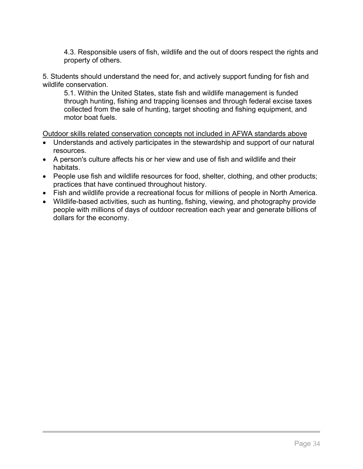4.3. Responsible users of fish, wildlife and the out of doors respect the rights and property of others.

5. Students should understand the need for, and actively support funding for fish and wildlife conservation.

5.1. Within the United States, state fish and wildlife management is funded through hunting, fishing and trapping licenses and through federal excise taxes collected from the sale of hunting, target shooting and fishing equipment, and motor boat fuels.

Outdoor skills related conservation concepts not included in AFWA standards above

- Understands and actively participates in the stewardship and support of our natural resources.
- A person's culture affects his or her view and use of fish and wildlife and their habitats.
- People use fish and wildlife resources for food, shelter, clothing, and other products; practices that have continued throughout history.
- Fish and wildlife provide a recreational focus for millions of people in North America.
- Wildlife-based activities, such as hunting, fishing, viewing, and photography provide people with millions of days of outdoor recreation each year and generate billions of dollars for the economy.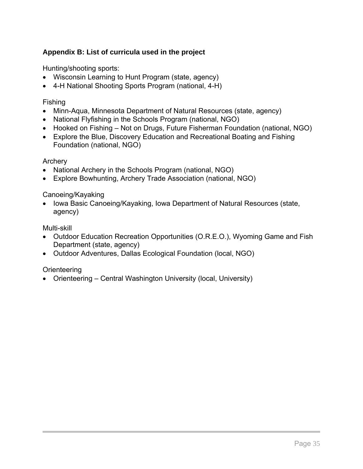#### **Appendix B: List of curricula used in the project**

Hunting/shooting sports:

- Wisconsin Learning to Hunt Program (state, agency)
- 4-H National Shooting Sports Program (national, 4-H)

#### Fishing

- Minn-Aqua, Minnesota Department of Natural Resources (state, agency)
- National Flyfishing in the Schools Program (national, NGO)
- Hooked on Fishing Not on Drugs, Future Fisherman Foundation (national, NGO)
- Explore the Blue, Discovery Education and Recreational Boating and Fishing Foundation (national, NGO)

#### **Archery**

- National Archery in the Schools Program (national, NGO)
- Explore Bowhunting, Archery Trade Association (national, NGO)

#### Canoeing/Kayaking

• Iowa Basic Canoeing/Kayaking, Iowa Department of Natural Resources (state, agency)

#### Multi-skill

- Outdoor Education Recreation Opportunities (O.R.E.O.), Wyoming Game and Fish Department (state, agency)
- Outdoor Adventures, Dallas Ecological Foundation (local, NGO)

#### **Orienteering**

Orienteering – Central Washington University (local, University)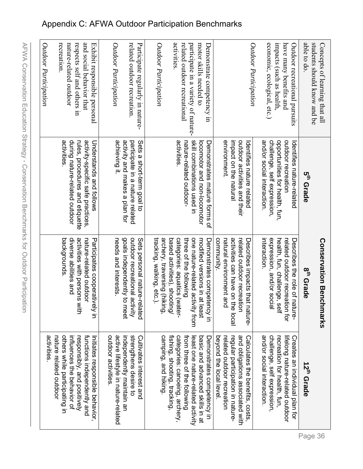| students should know and be<br>Concepts of learning that all | able to do.<br>5 <sup>th</sup> Grade | economic, ecological, etc.)<br>impacts (such as health<br>have many benefits and<br>Outdoor recreational pursuits<br>outdoor recreation<br>Identifies nature-related | Outdoor Participation<br>impact on the natural<br>environment.<br>Identifies nature related                                                                     | Appendix C: AFWA Outdoor Participation Benchmarks<br>activities<br>related outdoor recreational<br>motor skills needed to<br><b>Outdoor Participation</b><br>participate in a variety of nature-<br>Demonstrate competency in<br>activities.<br>nature-related outdoor- | related outdoor recreation<br>Participate regularly in nature-                                                                                                                                                                   | Outdoor Participation<br>achieving it.                                                                                                     |
|--------------------------------------------------------------|--------------------------------------|----------------------------------------------------------------------------------------------------------------------------------------------------------------------|-----------------------------------------------------------------------------------------------------------------------------------------------------------------|-------------------------------------------------------------------------------------------------------------------------------------------------------------------------------------------------------------------------------------------------------------------------|----------------------------------------------------------------------------------------------------------------------------------------------------------------------------------------------------------------------------------|--------------------------------------------------------------------------------------------------------------------------------------------|
|                                                              |                                      |                                                                                                                                                                      |                                                                                                                                                                 |                                                                                                                                                                                                                                                                         |                                                                                                                                                                                                                                  |                                                                                                                                            |
|                                                              |                                      | and/or social interaction.<br>challenge, self expression,<br>opportunities for health, fun,                                                                          | outdoor activities and their                                                                                                                                    |                                                                                                                                                                                                                                                                         | skill combinations used in<br>Demonstrates mature forms of<br>locomotor and non-locomotor                                                                                                                                        | activity and makes a plan for<br>Sets a short-term goal to<br>participate in a nature related                                              |
| Conservation<br><b>Benchmarks</b>                            | 8 <sup>th</sup> Grade                | interaction.<br>expression, and/or social<br>health, fun, challenge, self<br>related outdoor recreation for<br>Describes the role of nature-                         | activities can have on the local<br>community.<br>natural environment and<br>related outdoor recreation<br>Describes impacts that nature-                       | Demonstrates competency in                                                                                                                                                                                                                                              | tracking, walking.<br>archery, traversing (hiking,<br>categories: aquat<br>three of the following<br>one nature-related activity from<br>based activities), shooting/<br>modified versions in at least<br>tics (water-<br>etc.). | outdoor recreational activity<br>needs and interests.<br>goals independently to meet<br>Sets personal nature-related                       |
|                                                              | 12 <sup>th</sup> Grade               | and/or social interaction.<br>challenge, self expression,<br>lifelong nature-related outdoor<br>recreation for health, fun,<br>Creates an individual plan for        | and obligations associated with<br>beyond the local level.<br>related outdoor recreation<br>regular participation in nature-<br>Calculates the benetits, costs, | Demonstrates competency in                                                                                                                                                                                                                                              | fishing, shooting, tracking,<br>camping, and hiking.<br>categories: canoeing, archery,<br>trom three of the following<br>basic and advanced skills in at<br>least one nature-related activity                                    | strengthens desire to<br>active lifestyle in nature-related<br>independently maintain an<br>outdoor activities.<br>Cultivates interest and |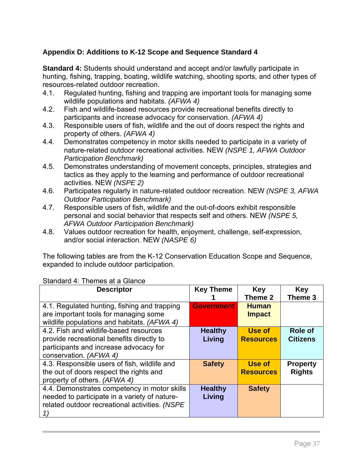#### **Appendix D: Additions to K-12 Scope and Sequence Standard 4**

**Standard 4:** Students should understand and accept and/or lawfully participate in hunting, fishing, trapping, boating, wildlife watching, shooting sports, and other types of resources-related outdoor recreation.

- 4.1. Regulated hunting, fishing and trapping are important tools for managing some wildlife populations and habitats. *(AFWA 4)*
- 4.2. Fish and wildlife-based resources provide recreational benefits directly to participants and increase advocacy for conservation. *(AFWA 4)*
- 4.3. Responsible users of fish, wildlife and the out of doors respect the rights and property of others. *(AFWA 4)*
- 4.4. Demonstrates competency in motor skills needed to participate in a variety of nature-related outdoor recreational activities. NEW *(NSPE 1, AFWA Outdoor Participation Benchmark)*
- 4.5. Demonstrates understanding of movement concepts, principles, strategies and tactics as they apply to the learning and performance of outdoor recreational activities. NEW *(NSPE 2)*
- 4.6. Participates regularly in nature-related outdoor recreation. NEW *(NSPE 3, AFWA Outdoor Participation Benchmark)*
- 4.7. Responsible users of fish, wildlife and the out-of-doors exhibit responsible personal and social behavior that respects self and others. NEW *(NSPE 5, AFWA Outdoor Participation Benchmark)*
- 4.8. Values outdoor recreation for health, enjoyment, challenge, self-expression, and/or social interaction. NEW *(NASPE 6)*

The following tables are from the K-12 Conservation Education Scope and Sequence, expanded to include outdoor participation.

| <b>Descriptor</b>                              | <b>Key Theme</b>  | Key              | Key             |
|------------------------------------------------|-------------------|------------------|-----------------|
|                                                |                   | Theme 2          | Theme 3         |
| 4.1. Regulated hunting, fishing and trapping   | <b>Government</b> | <b>Human</b>     |                 |
| are important tools for managing some          |                   | <b>Impact</b>    |                 |
| wildlife populations and habitats. (AFWA 4)    |                   |                  |                 |
| 4.2. Fish and wildlife-based resources         | <b>Healthy</b>    | Use of           | Role of         |
| provide recreational benefits directly to      | Living            | <b>Resources</b> | <b>Citizens</b> |
| participants and increase advocacy for         |                   |                  |                 |
| conservation. (AFWA 4)                         |                   |                  |                 |
| 4.3. Responsible users of fish, wildlife and   | <b>Safety</b>     | Use of           | <b>Property</b> |
| the out of doors respect the rights and        |                   | <b>Resources</b> | <b>Rights</b>   |
| property of others. (AFWA 4)                   |                   |                  |                 |
| 4.4. Demonstrates competency in motor skills   | <b>Healthy</b>    | <b>Safety</b>    |                 |
| needed to participate in a variety of nature-  | Living            |                  |                 |
| related outdoor recreational activities. (NSPE |                   |                  |                 |
|                                                |                   |                  |                 |

#### Standard 4: Themes at a Glance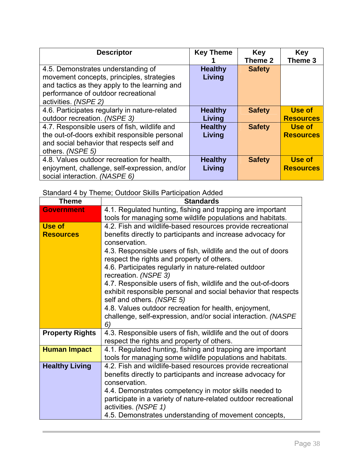| <b>Descriptor</b>                                                                                                                                                                               | <b>Key Theme</b>         | Key<br>Theme 2 | Key<br>Theme 3                    |
|-------------------------------------------------------------------------------------------------------------------------------------------------------------------------------------------------|--------------------------|----------------|-----------------------------------|
| 4.5. Demonstrates understanding of<br>movement concepts, principles, strategies<br>and tactics as they apply to the learning and<br>performance of outdoor recreational<br>activities. (NSPE 2) | <b>Healthy</b><br>Living | <b>Safety</b>  |                                   |
| 4.6. Participates regularly in nature-related<br>outdoor recreation. (NSPE 3)                                                                                                                   | <b>Healthy</b><br>Living | <b>Safety</b>  | <b>Use of</b><br><b>Resources</b> |
| 4.7. Responsible users of fish, wildlife and<br>the out-of-doors exhibit responsible personal<br>and social behavior that respects self and<br>others. (NSPE 5)                                 | <b>Healthy</b><br>Living | <b>Safety</b>  | Use of<br><b>Resources</b>        |
| 4.8. Values outdoor recreation for health,<br>enjoyment, challenge, self-expression, and/or<br>social interaction. (NASPE 6)                                                                    | <b>Healthy</b><br>Living | <b>Safety</b>  | Use of<br><b>Resources</b>        |

Standard 4 by Theme; Outdoor Skills Participation Added

| <b>Theme</b>           | <b>Standards</b>                                                                                            |
|------------------------|-------------------------------------------------------------------------------------------------------------|
| <b>Government</b>      | 4.1. Regulated hunting, fishing and trapping are important                                                  |
|                        | tools for managing some wildlife populations and habitats.                                                  |
| <b>Use of</b>          | 4.2. Fish and wildlife-based resources provide recreational                                                 |
| <b>Resources</b>       | benefits directly to participants and increase advocacy for                                                 |
|                        | conservation.                                                                                               |
|                        | 4.3. Responsible users of fish, wildlife and the out of doors<br>respect the rights and property of others. |
|                        | 4.6. Participates regularly in nature-related outdoor<br>recreation. (NSPE 3)                               |
|                        | 4.7. Responsible users of fish, wildlife and the out-of-doors                                               |
|                        | exhibit responsible personal and social behavior that respects<br>self and others. (NSPE 5)                 |
|                        | 4.8. Values outdoor recreation for health, enjoyment,                                                       |
|                        | challenge, self-expression, and/or social interaction. (NASPE                                               |
|                        | 6)                                                                                                          |
| <b>Property Rights</b> | 4.3. Responsible users of fish, wildlife and the out of doors<br>respect the rights and property of others. |
| <b>Human Impact</b>    | 4.1. Regulated hunting, fishing and trapping are important                                                  |
|                        | tools for managing some wildlife populations and habitats.                                                  |
| <b>Healthy Living</b>  | 4.2. Fish and wildlife-based resources provide recreational                                                 |
|                        | benefits directly to participants and increase advocacy for                                                 |
|                        | conservation.                                                                                               |
|                        | 4.4. Demonstrates competency in motor skills needed to                                                      |
|                        | participate in a variety of nature-related outdoor recreational                                             |
|                        | activities. (NSPE 1)                                                                                        |
|                        | 4.5. Demonstrates understanding of movement concepts,                                                       |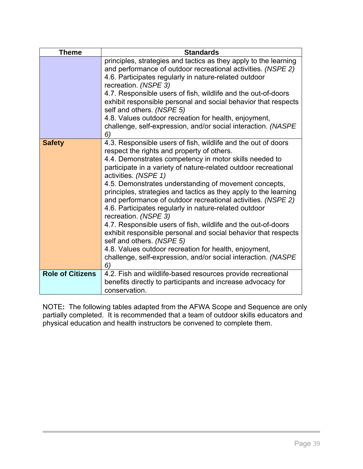| <b>Theme</b>            | <b>Standards</b>                                                                                                                                                                                                                                                                                                                                                                                                                                                                                                                                                                                                                                                                                                                                                                                                                               |
|-------------------------|------------------------------------------------------------------------------------------------------------------------------------------------------------------------------------------------------------------------------------------------------------------------------------------------------------------------------------------------------------------------------------------------------------------------------------------------------------------------------------------------------------------------------------------------------------------------------------------------------------------------------------------------------------------------------------------------------------------------------------------------------------------------------------------------------------------------------------------------|
|                         | principles, strategies and tactics as they apply to the learning<br>and performance of outdoor recreational activities. (NSPE 2)<br>4.6. Participates regularly in nature-related outdoor<br>recreation. (NSPE 3)<br>4.7. Responsible users of fish, wildlife and the out-of-doors<br>exhibit responsible personal and social behavior that respects<br>self and others. (NSPE 5)<br>4.8. Values outdoor recreation for health, enjoyment,<br>challenge, self-expression, and/or social interaction. (NASPE<br>6)                                                                                                                                                                                                                                                                                                                              |
| <b>Safety</b>           | 4.3. Responsible users of fish, wildlife and the out of doors<br>respect the rights and property of others.<br>4.4. Demonstrates competency in motor skills needed to<br>participate in a variety of nature-related outdoor recreational<br>activities. (NSPE 1)<br>4.5. Demonstrates understanding of movement concepts,<br>principles, strategies and tactics as they apply to the learning<br>and performance of outdoor recreational activities. (NSPE 2)<br>4.6. Participates regularly in nature-related outdoor<br>recreation. (NSPE 3)<br>4.7. Responsible users of fish, wildlife and the out-of-doors<br>exhibit responsible personal and social behavior that respects<br>self and others. (NSPE 5)<br>4.8. Values outdoor recreation for health, enjoyment,<br>challenge, self-expression, and/or social interaction. (NASPE<br>6) |
| <b>Role of Citizens</b> | 4.2. Fish and wildlife-based resources provide recreational<br>benefits directly to participants and increase advocacy for<br>conservation.                                                                                                                                                                                                                                                                                                                                                                                                                                                                                                                                                                                                                                                                                                    |

NOTE**:** The following tables adapted from the AFWA Scope and Sequence are only partially completed. It is recommended that a team of outdoor skills educators and physical education and health instructors be convened to complete them.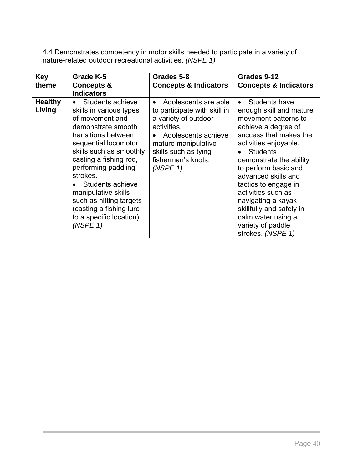4.4 Demonstrates competency in motor skills needed to participate in a variety of nature-related outdoor recreational activities. *(NSPE 1)*

| <b>Key</b><br>theme      | Grade K-5<br><b>Concepts &amp;</b><br><b>Indicators</b>                                                                                                                                                                                                                                                                                                              | Grades 5-8<br><b>Concepts &amp; Indicators</b>                                                                                                                                                      | Grades 9-12<br><b>Concepts &amp; Indicators</b>                                                                                                                                                                                                                                                                                                                                                                      |
|--------------------------|----------------------------------------------------------------------------------------------------------------------------------------------------------------------------------------------------------------------------------------------------------------------------------------------------------------------------------------------------------------------|-----------------------------------------------------------------------------------------------------------------------------------------------------------------------------------------------------|----------------------------------------------------------------------------------------------------------------------------------------------------------------------------------------------------------------------------------------------------------------------------------------------------------------------------------------------------------------------------------------------------------------------|
| <b>Healthy</b><br>Living | Students achieve<br>skills in various types<br>of movement and<br>demonstrate smooth<br>transitions between<br>sequential locomotor<br>skills such as smoothly<br>casting a fishing rod,<br>performing paddling<br>strokes.<br>Students achieve<br>manipulative skills<br>such as hitting targets<br>(casting a fishing lure<br>to a specific location).<br>(NSPE 1) | Adolescents are able<br>to participate with skill in<br>a variety of outdoor<br>activities.<br>Adolescents achieve<br>mature manipulative<br>skills such as tying<br>fisherman's knots.<br>(NSPE 1) | Students have<br>$\bullet$<br>enough skill and mature<br>movement patterns to<br>achieve a degree of<br>success that makes the<br>activities enjoyable.<br><b>Students</b><br>demonstrate the ability<br>to perform basic and<br>advanced skills and<br>tactics to engage in<br>activities such as<br>navigating a kayak<br>skillfully and safely in<br>calm water using a<br>variety of paddle<br>strokes. (NSPE 1) |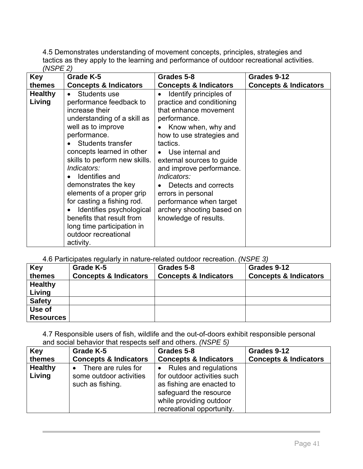4.5 Demonstrates understanding of movement concepts, principles, strategies and tactics as they apply to the learning and performance of outdoor recreational activities. *(NSPE 2)*

| <b>Key</b>               | Grade K-5                                                                                                                                                                                                                                                                                                                                                                                                                                                                             | Grades 5-8                                                                                                                                                                                                                                                                                                                                                                               | Grades 9-12                      |
|--------------------------|---------------------------------------------------------------------------------------------------------------------------------------------------------------------------------------------------------------------------------------------------------------------------------------------------------------------------------------------------------------------------------------------------------------------------------------------------------------------------------------|------------------------------------------------------------------------------------------------------------------------------------------------------------------------------------------------------------------------------------------------------------------------------------------------------------------------------------------------------------------------------------------|----------------------------------|
| themes                   | <b>Concepts &amp; Indicators</b>                                                                                                                                                                                                                                                                                                                                                                                                                                                      | <b>Concepts &amp; Indicators</b>                                                                                                                                                                                                                                                                                                                                                         | <b>Concepts &amp; Indicators</b> |
| <b>Healthy</b><br>Living | Students use<br>$\bullet$<br>performance feedback to<br>increase their<br>understanding of a skill as<br>well as to improve<br>performance.<br><b>Students transfer</b><br>concepts learned in other<br>skills to perform new skills.<br>Indicators:<br>Identifies and<br>demonstrates the key<br>elements of a proper grip<br>for casting a fishing rod.<br>Identifies psychological<br>benefits that result from<br>long time participation in<br>outdoor recreational<br>activity. | Identify principles of<br>practice and conditioning<br>that enhance movement<br>performance.<br>Know when, why and<br>how to use strategies and<br>tactics.<br>• Use internal and<br>external sources to guide<br>and improve performance.<br>Indicators:<br>Detects and corrects<br>errors in personal<br>performance when target<br>archery shooting based on<br>knowledge of results. |                                  |

#### 4.6 Participates regularly in nature-related outdoor recreation. *(NSPE 3)*

| <b>Key</b>       | Grade K-5                        | Grades 5-8                       | Grades 9-12                      |
|------------------|----------------------------------|----------------------------------|----------------------------------|
| themes           | <b>Concepts &amp; Indicators</b> | <b>Concepts &amp; Indicators</b> | <b>Concepts &amp; Indicators</b> |
| <b>Healthy</b>   |                                  |                                  |                                  |
| Living           |                                  |                                  |                                  |
| <b>Safety</b>    |                                  |                                  |                                  |
| Use of           |                                  |                                  |                                  |
| <b>Resources</b> |                                  |                                  |                                  |

4.7 Responsible users of fish, wildlife and the out-of-doors exhibit responsible personal and social behavior that respects self and others. *(NSPE 5)*

| Key                      | Grade K-5                                                                       | Grades 5-8                                                                                                                                                            | Grades 9-12                      |
|--------------------------|---------------------------------------------------------------------------------|-----------------------------------------------------------------------------------------------------------------------------------------------------------------------|----------------------------------|
| themes                   | <b>Concepts &amp; Indicators</b>                                                | <b>Concepts &amp; Indicators</b>                                                                                                                                      | <b>Concepts &amp; Indicators</b> |
| <b>Healthy</b><br>Living | There are rules for<br>$\bullet$<br>some outdoor activities<br>such as fishing. | • Rules and regulations<br>for outdoor activities such<br>as fishing are enacted to<br>safeguard the resource<br>while providing outdoor<br>recreational opportunity. |                                  |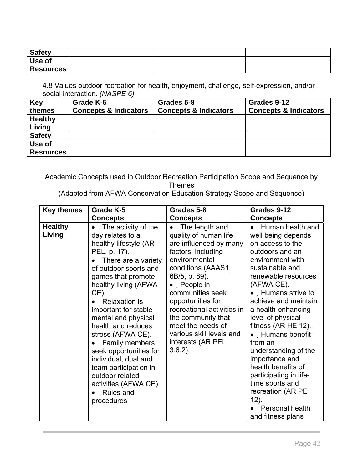| <b>Safety</b> |  |  |
|---------------|--|--|
| Use of        |  |  |
| ∣ Resources I |  |  |

4.8 Values outdoor recreation for health, enjoyment, challenge, self-expression, and/or social interaction. *(NASPE 6)*

| <b>Key</b>       | Grade K-5                        | Grades 5-8                       | Grades 9-12                      |
|------------------|----------------------------------|----------------------------------|----------------------------------|
| themes           | <b>Concepts &amp; Indicators</b> | <b>Concepts &amp; Indicators</b> | <b>Concepts &amp; Indicators</b> |
| <b>Healthy</b>   |                                  |                                  |                                  |
| Living           |                                  |                                  |                                  |
| <b>Safety</b>    |                                  |                                  |                                  |
| Use of           |                                  |                                  |                                  |
| <b>Resources</b> |                                  |                                  |                                  |

Academic Concepts used in Outdoor Recreation Participation Scope and Sequence by Themes

(Adapted from AFWA Conservation Education Strategy Scope and Sequence)

| <b>Key themes</b>        | Grade K-5                                                                                                                                                                                                                                                                                                                                                                                                                                                                                    | Grades 5-8                                                                                                                                                                                                                                                                                                                                              | Grades 9-12                                                                                                                                                                                                                                                                                                                                                                                                                                                                                                |
|--------------------------|----------------------------------------------------------------------------------------------------------------------------------------------------------------------------------------------------------------------------------------------------------------------------------------------------------------------------------------------------------------------------------------------------------------------------------------------------------------------------------------------|---------------------------------------------------------------------------------------------------------------------------------------------------------------------------------------------------------------------------------------------------------------------------------------------------------------------------------------------------------|------------------------------------------------------------------------------------------------------------------------------------------------------------------------------------------------------------------------------------------------------------------------------------------------------------------------------------------------------------------------------------------------------------------------------------------------------------------------------------------------------------|
|                          | <b>Concepts</b>                                                                                                                                                                                                                                                                                                                                                                                                                                                                              | <b>Concepts</b>                                                                                                                                                                                                                                                                                                                                         | <b>Concepts</b>                                                                                                                                                                                                                                                                                                                                                                                                                                                                                            |
| <b>Healthy</b><br>Living | $\bullet$ The activity of the<br>day relates to a<br>healthy lifestyle (AR<br>PEL, p. 17).<br>There are a variety<br>of outdoor sports and<br>games that promote<br>healthy living (AFWA<br>CE).<br>Relaxation is<br>important for stable<br>mental and physical<br>health and reduces<br>stress (AFWA CE).<br>Family members<br>seek opportunities for<br>individual, dual and<br>team participation in<br>outdoor related<br>activities (AFWA CE).<br>Rules and<br>$\bullet$<br>procedures | The length and<br>quality of human life<br>are influenced by many<br>factors, including<br>environmental<br>conditions (AAAS1,<br>6B/5, p. 89).<br>$\bullet$ People in<br>communities seek<br>opportunities for<br>recreational activities in<br>the community that<br>meet the needs of<br>various skill levels and<br>interests (AR PEL<br>$3.6.2$ ). | Human health and<br>$\bullet$<br>well being depends<br>on access to the<br>outdoors and an<br>environment with<br>sustainable and<br>renewable resources<br>(AFWA CE).<br>• Humans strive to<br>achieve and maintain<br>a health-enhancing<br>level of physical<br>fitness (AR HE 12).<br>• Humans benefit<br>from an<br>understanding of the<br>importance and<br>health benefits of<br>participating in life-<br>time sports and<br>recreation (AR PE<br>$12$ ).<br>Personal health<br>and fitness plans |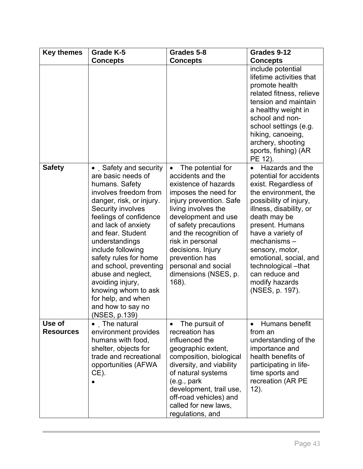| <b>Key themes</b>          | Grade K-5                                                                                                                                                                                                                                                                                                                                                                                                                            | Grades 5-8                                                                                                                                                                                                                                                                                                                                            | Grades 9-12                                                                                                                                                                                                                                                                                                                                       |
|----------------------------|--------------------------------------------------------------------------------------------------------------------------------------------------------------------------------------------------------------------------------------------------------------------------------------------------------------------------------------------------------------------------------------------------------------------------------------|-------------------------------------------------------------------------------------------------------------------------------------------------------------------------------------------------------------------------------------------------------------------------------------------------------------------------------------------------------|---------------------------------------------------------------------------------------------------------------------------------------------------------------------------------------------------------------------------------------------------------------------------------------------------------------------------------------------------|
|                            | <b>Concepts</b>                                                                                                                                                                                                                                                                                                                                                                                                                      | <b>Concepts</b>                                                                                                                                                                                                                                                                                                                                       | <b>Concepts</b>                                                                                                                                                                                                                                                                                                                                   |
|                            |                                                                                                                                                                                                                                                                                                                                                                                                                                      |                                                                                                                                                                                                                                                                                                                                                       | include potential<br>lifetime activities that<br>promote health<br>related fitness, relieve<br>tension and maintain<br>a healthy weight in<br>school and non-<br>school settings (e.g.<br>hiking, canoeing,<br>archery, shooting<br>sports, fishing) (AR<br>PE 12).                                                                               |
| <b>Safety</b>              | • Safety and security<br>are basic needs of<br>humans. Safety<br>involves freedom from<br>danger, risk, or injury.<br>Security involves<br>feelings of confidence<br>and lack of anxiety<br>and fear. Student<br>understandings<br>include following<br>safety rules for home<br>and school, preventing<br>abuse and neglect,<br>avoiding injury,<br>knowing whom to ask<br>for help, and when<br>and how to say no<br>(NSES, p.139) | The potential for<br>$\bullet$<br>accidents and the<br>existence of hazards<br>imposes the need for<br>injury prevention. Safe<br>living involves the<br>development and use<br>of safety precautions<br>and the recognition of<br>risk in personal<br>decisions. Injury<br>prevention has<br>personal and social<br>dimensions (NSES, p.<br>$168$ ). | Hazards and the<br>potential for accidents<br>exist. Regardless of<br>the environment, the<br>possibility of injury,<br>illness, disability, or<br>death may be<br>present. Humans<br>have a variety of<br>mechanisms-<br>sensory, motor,<br>emotional, social, and<br>technological -that<br>can reduce and<br>modify hazards<br>(NSES, p. 197). |
| Use of<br><b>Resources</b> | • The natural<br>environment provides<br>humans with food,<br>shelter, objects for<br>trade and recreational<br>opportunities (AFWA<br>CE).                                                                                                                                                                                                                                                                                          | The pursuit of<br>recreation has<br>influenced the<br>geographic extent,<br>composition, biological<br>diversity, and viability<br>of natural systems<br>(e.g., park)<br>development, trail use,<br>off-road vehicles) and<br>called for new laws,<br>regulations, and                                                                                | Humans benefit<br>from an<br>understanding of the<br>importance and<br>health benefits of<br>participating in life-<br>time sports and<br>recreation (AR PE<br>$12$ ).                                                                                                                                                                            |